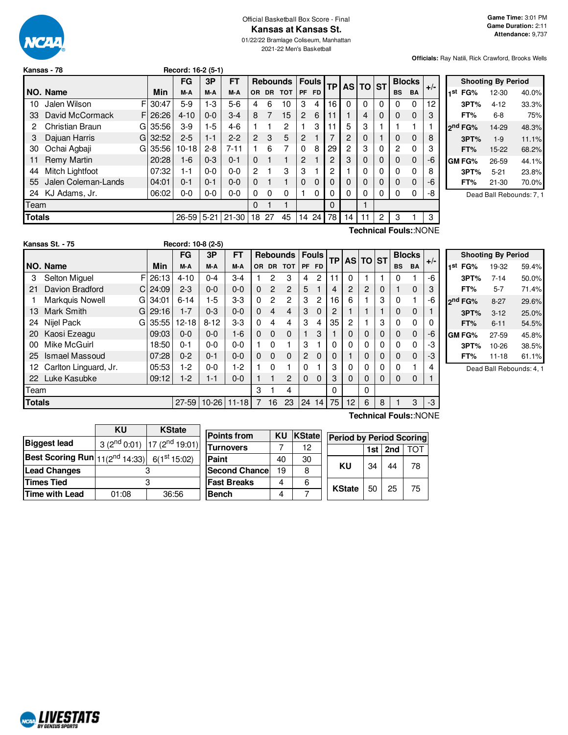

#### Official Basketball Box Score - Final **Kansas at Kansas St.**

01/22/22 Bramlage Coliseum, Manhattan 2021-22 Men's Basketball

**Officials:** Ray Natili, Rick Crawford, Brooks Wells

|               | Record: 16-2 (5-1)<br>Kansas - 78 |    |         |           |          |           |                |           |                 |                |              |           |    |          |          |           |                       |       |
|---------------|-----------------------------------|----|---------|-----------|----------|-----------|----------------|-----------|-----------------|----------------|--------------|-----------|----|----------|----------|-----------|-----------------------|-------|
|               |                                   |    |         | FG        | 3P       | FT        |                |           | <b>Rebounds</b> |                | <b>Fouls</b> | <b>TP</b> |    | AS TO ST |          |           | <b>Blocks</b>         | $+/-$ |
|               | NO. Name                          |    | Min     | M-A       | M-A      | M-A       | <b>OR</b>      | <b>DR</b> | <b>TOT</b>      | PF             | FD.          |           |    |          |          | <b>BS</b> | <b>BA</b>             |       |
| 10            | Jalen Wilson                      | F  | 30:47   | $5-9$     | $1-3$    | $5-6$     | 4              | 6         | 10              | 3              | 4            | 16        | 0  | $\Omega$ | $\Omega$ | 0         | 0                     | 12    |
| 33            | David McCormack                   | FI | 26:26   | $4 - 10$  | $0 - 0$  | $3 - 4$   | 8              | 7         | 15              | $\overline{c}$ | 6            | 11        |    | 4        | $\Omega$ | 0         | 0                     | 3     |
| 2             | Christian Braun                   |    | GI35:56 | $3-9$     | $1-5$    | $4-6$     |                |           | 2               |                | 3            | 11        | 5  | 3        |          |           | 1                     |       |
| З             | Dajuan Harris                     | G  | 32:52   | $2 - 5$   | $1 - 1$  | $2 - 2$   | $\overline{2}$ | 3         | 5               | $\overline{2}$ |              |           | 2  | 0        |          | 0         | 0                     | 8     |
| 30            | Ochai Agbaji                      | G  | 35:56   | $10 - 18$ | $2 - 8$  | $7 - 11$  |                | 6         | 7               | $\Omega$       | 8            | 29        | 2  | 3        | $\Omega$ | 2         | 0                     | 3     |
| 11            | Remy Martin                       |    | 20:28   | 1-6       | $0 - 3$  | $0 - 1$   | $\Omega$       |           |                 | $\overline{2}$ |              | 2         | 3  | 0        | 0        | 0         | 0                     | -6    |
| 44            | Mitch Lightfoot                   |    | 07:32   | 1-1       | $0 - 0$  | $0-0$     | 2              |           | 3               | 3              |              | 2         |    | 0        | $\Omega$ | 0         | 0                     | 8     |
| 55            | Jalen Coleman-Lands               |    | 04:01   | $0 - 1$   | $0 - 1$  | $0 - 0$   | $\Omega$       |           |                 | $\Omega$       | $\Omega$     | 0         | 0  | 0        | $\Omega$ | 0         | 0                     | -6    |
| 24            | KJ Adams, Jr.                     |    | 06:02   | $0-0$     | $0-0$    | $0-0$     | $\Omega$       | 0         | 0               |                | 0            | 0         | 0  | 0        | 0        | 0         | 0                     | -8    |
| Team          |                                   |    |         |           |          |           | 0              |           |                 |                |              | $\Omega$  |    |          |          |           |                       |       |
| <b>Totals</b> |                                   |    |         | 26-59     | $5 - 21$ | $21 - 30$ | 18             | 27        | 45              | 14             | 24           | 78        | 14 | 11       | 2        | 3         |                       | 3     |
|               |                                   |    |         |           |          |           |                |           |                 |                |              |           |    |          |          |           | Technical Fouls::NONE |       |

|     |                     | <b>Shooting By Period</b> |       |
|-----|---------------------|---------------------------|-------|
| 1st | FG%                 | 12-30                     | 40.0% |
|     | 3PT%                | $4 - 12$                  | 33.3% |
|     | FT%                 | 6-8                       | 75%   |
|     | 2 <sup>nd</sup> FG% | 14-29                     | 48.3% |
|     | 3PT%                | $1 - 9$                   | 11.1% |
|     | FT%                 | 15-22                     | 68.2% |
|     | <b>GM FG%</b>       | 26-59                     | 44.1% |
|     | 3PT%                | $5 - 21$                  | 23.8% |
|     | FT%                 | 21-30                     | 70.0% |
|     |                     |                           |       |

Dead Ball Rebounds: 7, 1

|               | Kansas St. - 75       |    |       | Record: 10-8 (2-5) |          |                 |           |                |                 |                |              |           |          |          |   |           |               |          |
|---------------|-----------------------|----|-------|--------------------|----------|-----------------|-----------|----------------|-----------------|----------------|--------------|-----------|----------|----------|---|-----------|---------------|----------|
|               |                       |    |       | FG                 | 3P       | <b>FT</b>       |           |                | <b>Rebounds</b> |                | <b>Fouls</b> | <b>TP</b> |          | AS TO ST |   |           | <b>Blocks</b> | $+/-$    |
|               | NO. Name              |    | Min   | M-A                | M-A      | M-A             | <b>OR</b> | <b>DR</b>      | <b>TOT</b>      | PF             | FD.          |           |          |          |   | <b>BS</b> | <b>BA</b>     |          |
| 3             | <b>Selton Miquel</b>  | F  | 26:13 | $4 - 10$           | $0 - 4$  | $3-4$           |           | 2              | 3               | 4              | 2            | 11        | $\Omega$ |          |   | 0         |               | $-6$     |
| 21            | Davion Bradford       | C. | 24:09 | $2 - 3$            | $0 - 0$  | $0 - 0$         | $\Omega$  | $\overline{2}$ | $\overline{c}$  | 5              |              | 4         | 2        | 2        | 0 |           | 0             | 3        |
|               | Markquis Nowell       | GI | 34:01 | $6 - 14$           | $1-5$    | $3-3$           | 0         | $\overline{c}$ | 2               | 3              | 2            | 16        | 6        |          | 3 | $\Omega$  |               | -6       |
| 13            | Mark Smith            | Gl | 29:16 | $1 - 7$            | $0 - 3$  | $0 - 0$         | $\Omega$  | 4              | 4               | 3              | $\Omega$     | 2         |          |          |   | $\Omega$  | 0             |          |
| 24            | Nijel Pack            | Gl | 35:55 | $12 - 18$          | $8 - 12$ | $3-3$           | $\Omega$  | 4              | 4               | 3              | 4            | 35        | 2        |          | 3 | $\Omega$  | 0             | $\Omega$ |
| 20            | Kaosi Ezeagu          |    | 09:03 | $0 - 0$            | $0 - 0$  | $1 - 6$         | 0         | $\Omega$       | 0               |                | 3            |           | 0        | 0        | 0 | $\Omega$  | $\Omega$      | -6       |
| 00            | Mike McGuirl          |    | 18:50 | $0 - 1$            | $0-0$    | $0 - 0$         |           | $\Omega$       |                 | 3              |              | $\Omega$  | 0        | 0        | 0 | 0         | 0             | -3       |
| 25            | Ismael Massoud        |    | 07:28 | $0 - 2$            | $0 - 1$  | $0 - 0$         | 0         | $\Omega$       | $\Omega$        | $\overline{2}$ | $\Omega$     | 0         |          | 0        | 0 | $\Omega$  | $\mathbf{0}$  | -3       |
| 12.           | Carlton Linguard, Jr. |    | 05:53 | 1-2                | $0-0$    | $1-2$           |           | $\Omega$       |                 | 0              |              | 3         | 0        | 0        | 0 | 0         |               | 4        |
| 22            | Luke Kasubke          |    | 09:12 | $1-2$              | $1 - 1$  | $0 - 0$         |           |                | 2               | 0              | $\Omega$     | 3         | $\Omega$ | $\Omega$ | 0 | $\Omega$  | 0             | 1        |
| Team          |                       |    |       |                    |          |                 | 3         |                | 4               |                |              | $\Omega$  |          | 0        |   |           |               |          |
| <b>Totals</b> |                       |    |       | $27 - 59$          |          | $10-26$   11-18 | 7         | 16             | 23              | 24             | 14           | 75        | 12       | 6        | 8 |           | 3             | -3       |

|     |                     | <b>Shooting By Period</b> |       |
|-----|---------------------|---------------------------|-------|
| 1st | FG%                 | 19-32                     | 59.4% |
|     | 3PT%                | $7 - 14$                  | 50.0% |
|     | FT%                 | 5-7                       | 71.4% |
|     | 2 <sup>nd</sup> FG% | $8-27$                    | 29.6% |
|     | 3PT%                | $3 - 12$                  | 25.0% |
|     | FT%                 | $6 - 11$                  | 54.5% |
|     | GM FG%              | 27-59                     | 45.8% |
|     | 3PT%                | 10-26                     | 38.5% |
|     | FT%                 | 11-18                     | 61.1% |

Dead Ball Rebounds: 4, 1

|                                                                                    | ΚU    | <b>KState</b>                      |                       |           |        |                                 |     |     |     |
|------------------------------------------------------------------------------------|-------|------------------------------------|-----------------------|-----------|--------|---------------------------------|-----|-----|-----|
|                                                                                    |       |                                    | <b>Points from</b>    | <b>KU</b> | KState | <b>Period by Period Scoring</b> |     |     |     |
| <b>Biggest lead</b>                                                                |       | $3(2^{nd}0.01)$ 17 $(2^{nd}19.01)$ | <b>Turnovers</b>      |           | 12     |                                 | 1st | 2nd | TOT |
| Best Scoring Run $\left  11(2^{\text{nd}} 14:33) \right $ 6(1 <sup>st</sup> 15:02) |       |                                    | Paint                 | 40        | 30     |                                 |     |     |     |
| <b>Lead Changes</b>                                                                |       |                                    | <b>Second Chancel</b> | 19        | 8      | KU                              | 34  | 44  | 78  |
| Times Tied                                                                         |       |                                    | <b>Fast Breaks</b>    | 4         | 6      |                                 |     |     |     |
| Time with Lead                                                                     | 01:08 | 36:56                              | <b>Bench</b>          | 4         |        | <b>KState</b>                   | 50  | 25  | 75  |
|                                                                                    |       |                                    |                       |           |        |                                 |     |     |     |

 $\overline{\phantom{a}}$ 

**Technical Fouls:**:NONE



 $\mathbf{r}$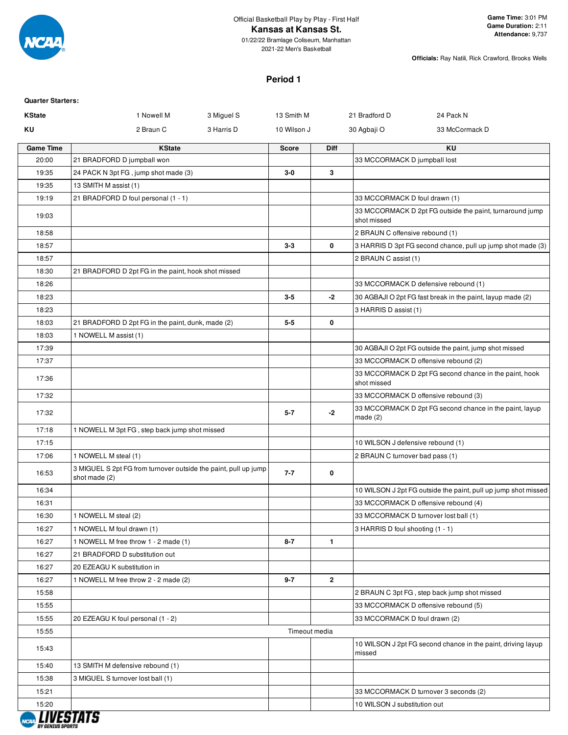

01/22/22 Bramlage Coliseum, Manhattan 2021-22 Men's Basketball

**Officials:** Ray Natili, Rick Crawford, Brooks Wells

#### **Period 1**

| <b>Quarter Starters:</b> |                                                                                  |               |              |                                       |                                                                |
|--------------------------|----------------------------------------------------------------------------------|---------------|--------------|---------------------------------------|----------------------------------------------------------------|
| <b>KState</b>            | 1 Nowell M<br>3 Miguel S                                                         | 13 Smith M    |              | 21 Bradford D                         | 24 Pack N                                                      |
| ΚU                       | 2 Braun C<br>3 Harris D                                                          | 10 Wilson J   |              | 30 Agbaji O                           | 33 McCormack D                                                 |
| <b>Game Time</b>         | <b>KState</b>                                                                    | <b>Score</b>  | Diff         |                                       | ΚU                                                             |
| 20:00                    | 21 BRADFORD D jumpball won                                                       |               |              | 33 MCCORMACK D jumpball lost          |                                                                |
| 19:35                    | 24 PACK N 3pt FG, jump shot made (3)                                             | $3-0$         | 3            |                                       |                                                                |
| 19:35                    | 13 SMITH M assist (1)                                                            |               |              |                                       |                                                                |
| 19:19                    | 21 BRADFORD D foul personal (1 - 1)                                              |               |              | 33 MCCORMACK D foul drawn (1)         |                                                                |
| 19:03                    |                                                                                  |               |              | shot missed                           | 33 MCCORMACK D 2pt FG outside the paint, turnaround jump       |
| 18:58                    |                                                                                  |               |              | 2 BRAUN C offensive rebound (1)       |                                                                |
| 18:57                    |                                                                                  | $3-3$         | 0            |                                       | 3 HARRIS D 3pt FG second chance, pull up jump shot made (3)    |
| 18:57                    |                                                                                  |               |              | 2 BRAUN C assist (1)                  |                                                                |
| 18:30                    | 21 BRADFORD D 2pt FG in the paint, hook shot missed                              |               |              |                                       |                                                                |
| 18:26                    |                                                                                  |               |              |                                       | 33 MCCORMACK D defensive rebound (1)                           |
| 18:23                    |                                                                                  | $3 - 5$       | -2           |                                       | 30 AGBAJI O 2pt FG fast break in the paint, layup made (2)     |
| 18:23                    |                                                                                  |               |              | 3 HARRIS D assist (1)                 |                                                                |
| 18:03                    | 21 BRADFORD D 2pt FG in the paint, dunk, made (2)                                | $5 - 5$       | 0            |                                       |                                                                |
| 18:03                    | 1 NOWELL M assist (1)                                                            |               |              |                                       |                                                                |
| 17:39                    |                                                                                  |               |              |                                       | 30 AGBAJI O 2pt FG outside the paint, jump shot missed         |
| 17:37                    |                                                                                  |               |              | 33 MCCORMACK D offensive rebound (2)  |                                                                |
| 17:36                    |                                                                                  |               |              | shot missed                           | 33 MCCORMACK D 2pt FG second chance in the paint, hook         |
| 17:32                    |                                                                                  |               |              |                                       | 33 MCCORMACK D offensive rebound (3)                           |
| 17:32                    |                                                                                  | $5 - 7$       | -2           | made(2)                               | 33 MCCORMACK D 2pt FG second chance in the paint, layup        |
| 17:18                    | 1 NOWELL M 3pt FG, step back jump shot missed                                    |               |              |                                       |                                                                |
| 17:15                    |                                                                                  |               |              | 10 WILSON J defensive rebound (1)     |                                                                |
| 17:06                    | 1 NOWELL M steal (1)                                                             |               |              | 2 BRAUN C turnover bad pass (1)       |                                                                |
| 16:53                    | 3 MIGUEL S 2pt FG from turnover outside the paint, pull up jump<br>shot made (2) | $7 - 7$       | 0            |                                       |                                                                |
| 16:34                    |                                                                                  |               |              |                                       | 10 WILSON J 2pt FG outside the paint, pull up jump shot missed |
| 16:31                    |                                                                                  |               |              |                                       | 33 MCCORMACK D offensive rebound (4)                           |
| 16:30                    | 1 NOWELL M steal (2)                                                             |               |              | 33 MCCORMACK D turnover lost ball (1) |                                                                |
| 16:27                    | 1 NOWELL M foul drawn (1)                                                        |               |              | 3 HARRIS D foul shooting (1 - 1)      |                                                                |
| 16:27                    | 1 NOWELL M free throw 1 - 2 made (1)                                             | $8 - 7$       | $\mathbf{1}$ |                                       |                                                                |
| 16:27                    | 21 BRADFORD D substitution out                                                   |               |              |                                       |                                                                |
| 16:27                    | 20 EZEAGU K substitution in                                                      |               |              |                                       |                                                                |
| 16:27                    | 1 NOWELL M free throw 2 - 2 made (2)                                             | $9 - 7$       | $\mathbf{2}$ |                                       |                                                                |
| 15:58                    |                                                                                  |               |              |                                       | 2 BRAUN C 3pt FG, step back jump shot missed                   |
| 15:55                    |                                                                                  |               |              |                                       | 33 MCCORMACK D offensive rebound (5)                           |
| 15:55                    | 20 EZEAGU K foul personal (1 - 2)                                                |               |              | 33 MCCORMACK D foul drawn (2)         |                                                                |
| 15:55                    |                                                                                  | Timeout media |              |                                       |                                                                |
| 15:43                    |                                                                                  |               |              | missed                                | 10 WILSON J 2pt FG second chance in the paint, driving layup   |
| 15:40                    | 13 SMITH M defensive rebound (1)                                                 |               |              |                                       |                                                                |
| 15:38                    | 3 MIGUEL S turnover lost ball (1)                                                |               |              |                                       |                                                                |
| 15:21                    |                                                                                  |               |              |                                       | 33 MCCORMACK D turnover 3 seconds (2)                          |
| 15:20                    |                                                                                  |               |              | 10 WILSON J substitution out          |                                                                |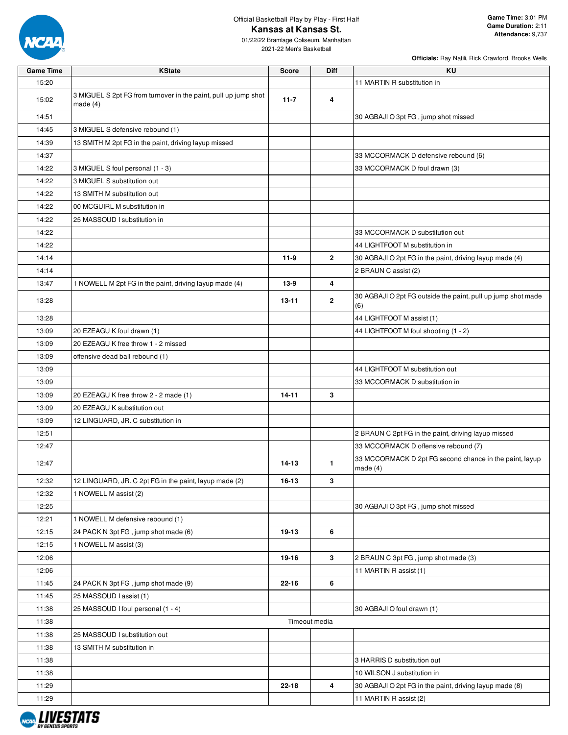

01/22/22 Bramlage Coliseum, Manhattan 2021-22 Men's Basketball

| <b>Game Time</b> | <b>KState</b>                                                                 | <b>Score</b> | Diff           | ΚU                                                                    |
|------------------|-------------------------------------------------------------------------------|--------------|----------------|-----------------------------------------------------------------------|
| 15:20            |                                                                               |              |                | 11 MARTIN R substitution in                                           |
| 15:02            | 3 MIGUEL S 2pt FG from turnover in the paint, pull up jump shot<br>made $(4)$ | $11 - 7$     | 4              |                                                                       |
| 14:51            |                                                                               |              |                | 30 AGBAJI O 3pt FG, jump shot missed                                  |
| 14:45            | 3 MIGUEL S defensive rebound (1)                                              |              |                |                                                                       |
| 14:39            | 13 SMITH M 2pt FG in the paint, driving layup missed                          |              |                |                                                                       |
| 14:37            |                                                                               |              |                | 33 MCCORMACK D defensive rebound (6)                                  |
| 14:22            | 3 MIGUEL S foul personal (1 - 3)                                              |              |                | 33 MCCORMACK D foul drawn (3)                                         |
| 14:22            | 3 MIGUEL S substitution out                                                   |              |                |                                                                       |
| 14:22            | 13 SMITH M substitution out                                                   |              |                |                                                                       |
| 14:22            | 00 MCGUIRL M substitution in                                                  |              |                |                                                                       |
| 14:22            | 25 MASSOUD I substitution in                                                  |              |                |                                                                       |
| 14:22            |                                                                               |              |                | 33 MCCORMACK D substitution out                                       |
| 14:22            |                                                                               |              |                | 44 LIGHTFOOT M substitution in                                        |
| 14:14            |                                                                               | 11-9         | $\mathbf{2}$   | 30 AGBAJI O 2pt FG in the paint, driving layup made (4)               |
| 14:14            |                                                                               |              |                | 2 BRAUN C assist (2)                                                  |
| 13:47            | 1 NOWELL M 2pt FG in the paint, driving layup made (4)                        | 13-9         | 4              |                                                                       |
| 13:28            |                                                                               | 13-11        | $\overline{2}$ | 30 AGBAJI O 2pt FG outside the paint, pull up jump shot made<br>(6)   |
| 13:28            |                                                                               |              |                | 44 LIGHTFOOT M assist (1)                                             |
| 13:09            | 20 EZEAGU K foul drawn (1)                                                    |              |                | 44 LIGHTFOOT M foul shooting (1 - 2)                                  |
| 13:09            | 20 EZEAGU K free throw 1 - 2 missed                                           |              |                |                                                                       |
| 13:09            | offensive dead ball rebound (1)                                               |              |                |                                                                       |
| 13:09            |                                                                               |              |                | 44 LIGHTFOOT M substitution out                                       |
| 13:09            |                                                                               |              |                | 33 MCCORMACK D substitution in                                        |
| 13:09            | 20 EZEAGU K free throw 2 - 2 made (1)                                         | $14 - 11$    | 3              |                                                                       |
| 13:09            | 20 EZEAGU K substitution out                                                  |              |                |                                                                       |
| 13:09            | 12 LINGUARD, JR. C substitution in                                            |              |                |                                                                       |
| 12:51            |                                                                               |              |                | 2 BRAUN C 2pt FG in the paint, driving layup missed                   |
| 12:47            |                                                                               |              |                | 33 MCCORMACK D offensive rebound (7)                                  |
| 12:47            |                                                                               | 14-13        | $\mathbf{1}$   | 33 MCCORMACK D 2pt FG second chance in the paint, layup<br>made $(4)$ |
| 12:32            | 12 LINGUARD, JR. C 2pt FG in the paint, layup made (2)                        | 16-13        | 3              |                                                                       |
| 12:32            | 1 NOWELL M assist (2)                                                         |              |                |                                                                       |
| 12:25            |                                                                               |              |                | 30 AGBAJI O 3pt FG, jump shot missed                                  |
| 12:21            | 1 NOWELL M defensive rebound (1)                                              |              |                |                                                                       |
| 12:15            | 24 PACK N 3pt FG, jump shot made (6)                                          | 19-13        | 6              |                                                                       |
| 12:15            | 1 NOWELL M assist (3)                                                         |              |                |                                                                       |
| 12:06            |                                                                               | 19-16        | $\mathbf{3}$   | 2 BRAUN C 3pt FG, jump shot made (3)                                  |
| 12:06            |                                                                               |              |                | 11 MARTIN R assist (1)                                                |
| 11:45            | 24 PACK N 3pt FG, jump shot made (9)                                          | 22-16        | 6              |                                                                       |
| 11:45            | 25 MASSOUD I assist (1)                                                       |              |                |                                                                       |
| 11:38            | 25 MASSOUD I foul personal (1 - 4)                                            |              |                | 30 AGBAJI O foul drawn (1)                                            |
| 11:38            |                                                                               |              | Timeout media  |                                                                       |
| 11:38            | 25 MASSOUD I substitution out                                                 |              |                |                                                                       |
| 11:38            | 13 SMITH M substitution in                                                    |              |                |                                                                       |
| 11:38            |                                                                               |              |                | 3 HARRIS D substitution out                                           |
| 11:38            |                                                                               |              |                | 10 WILSON J substitution in                                           |
| 11:29            |                                                                               | 22-18        | 4              | 30 AGBAJI O 2pt FG in the paint, driving layup made (8)               |
| 11:29            |                                                                               |              |                | 11 MARTIN R assist (2)                                                |

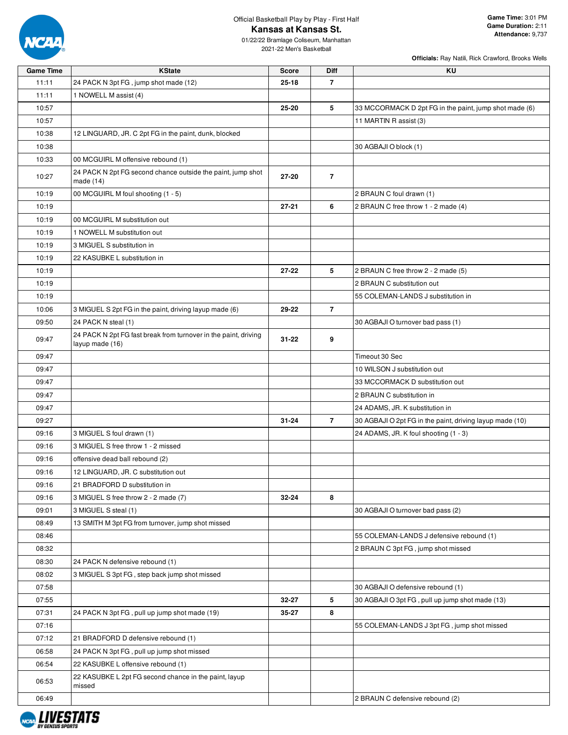

01/22/22 Bramlage Coliseum, Manhattan 2021-22 Men's Basketball

| <b>Game Time</b> | <b>KState</b>                                                                      | <b>Score</b> | <b>Diff</b>    | KU                                                       |
|------------------|------------------------------------------------------------------------------------|--------------|----------------|----------------------------------------------------------|
| 11:11            | 24 PACK N 3pt FG, jump shot made (12)                                              | $25 - 18$    | $\overline{7}$ |                                                          |
| 11:11            | 1 NOWELL M assist (4)                                                              |              |                |                                                          |
| 10:57            |                                                                                    | 25-20        | 5              | 33 MCCORMACK D 2pt FG in the paint, jump shot made (6)   |
| 10:57            |                                                                                    |              |                | 11 MARTIN R assist (3)                                   |
| 10:38            | 12 LINGUARD, JR. C 2pt FG in the paint, dunk, blocked                              |              |                |                                                          |
| 10:38            |                                                                                    |              |                | 30 AGBAJI O block (1)                                    |
| 10:33            | 00 MCGUIRL M offensive rebound (1)                                                 |              |                |                                                          |
|                  | 24 PACK N 2pt FG second chance outside the paint, jump shot                        |              |                |                                                          |
| 10:27            | made $(14)$                                                                        | $27 - 20$    | $\overline{7}$ |                                                          |
| 10:19            | 00 MCGUIRL M foul shooting (1 - 5)                                                 |              |                | 2 BRAUN C foul drawn (1)                                 |
| 10:19            |                                                                                    | $27 - 21$    | 6              | 2 BRAUN C free throw 1 - 2 made (4)                      |
| 10:19            | 00 MCGUIRL M substitution out                                                      |              |                |                                                          |
| 10:19            | 1 NOWELL M substitution out                                                        |              |                |                                                          |
| 10:19            | 3 MIGUEL S substitution in                                                         |              |                |                                                          |
| 10:19            | 22 KASUBKE L substitution in                                                       |              |                |                                                          |
| 10:19            |                                                                                    | $27 - 22$    | 5              | 2 BRAUN C free throw 2 - 2 made (5)                      |
| 10:19            |                                                                                    |              |                | 2 BRAUN C substitution out                               |
| 10:19            |                                                                                    |              |                | 55 COLEMAN-LANDS J substitution in                       |
| 10:06            | 3 MIGUEL S 2pt FG in the paint, driving layup made (6)                             | 29-22        | $\overline{7}$ |                                                          |
| 09:50            |                                                                                    |              |                |                                                          |
|                  | 24 PACK N steal (1)                                                                |              |                | 30 AGBAJI O turnover bad pass (1)                        |
| 09:47            | 24 PACK N 2pt FG fast break from turnover in the paint, driving<br>layup made (16) | $31 - 22$    | 9              |                                                          |
| 09:47            |                                                                                    |              |                | Timeout 30 Sec                                           |
| 09:47            |                                                                                    |              |                | 10 WILSON J substitution out                             |
| 09:47            |                                                                                    |              |                | 33 MCCORMACK D substitution out                          |
| 09:47            |                                                                                    |              |                | 2 BRAUN C substitution in                                |
| 09:47            |                                                                                    |              |                | 24 ADAMS, JR. K substitution in                          |
| 09:27            |                                                                                    | $31 - 24$    | $\overline{7}$ | 30 AGBAJI O 2pt FG in the paint, driving layup made (10) |
| 09:16            | 3 MIGUEL S foul drawn (1)                                                          |              |                | 24 ADAMS, JR. K foul shooting (1 - 3)                    |
|                  | 3 MIGUEL S free throw 1 - 2 missed                                                 |              |                |                                                          |
| 09:16            |                                                                                    |              |                |                                                          |
| 09:16            | offensive dead ball rebound (2)                                                    |              |                |                                                          |
| 09:16            | 12 LINGUARD, JR. C substitution out                                                |              |                |                                                          |
| 09:16            | 21 BRADFORD D substitution in                                                      |              |                |                                                          |
| 09:16            | 3 MIGUEL S free throw 2 - 2 made (7)                                               | $32 - 24$    | 8              |                                                          |
| 09:01            | 3 MIGUEL S steal (1)                                                               |              |                | 30 AGBAJI O turnover bad pass (2)                        |
| 08:49            | 13 SMITH M 3pt FG from turnover, jump shot missed                                  |              |                |                                                          |
| 08:46            |                                                                                    |              |                | 55 COLEMAN-LANDS J defensive rebound (1)                 |
| 08:32            |                                                                                    |              |                | 2 BRAUN C 3pt FG, jump shot missed                       |
| 08:30            | 24 PACK N defensive rebound (1)                                                    |              |                |                                                          |
| 08:02            | 3 MIGUEL S 3pt FG, step back jump shot missed                                      |              |                |                                                          |
| 07:58            |                                                                                    |              |                | 30 AGBAJI O defensive rebound (1)                        |
| 07:55            |                                                                                    | 32-27        | 5              | 30 AGBAJI O 3pt FG, pull up jump shot made (13)          |
| 07:31            | 24 PACK N 3pt FG, pull up jump shot made (19)                                      | 35-27        | 8              |                                                          |
| 07:16            |                                                                                    |              |                | 55 COLEMAN-LANDS J 3pt FG, jump shot missed              |
| 07:12            | 21 BRADFORD D defensive rebound (1)                                                |              |                |                                                          |
| 06:58            | 24 PACK N 3pt FG, pull up jump shot missed                                         |              |                |                                                          |
| 06:54            | 22 KASUBKE L offensive rebound (1)                                                 |              |                |                                                          |
|                  | 22 KASUBKE L 2pt FG second chance in the paint, layup                              |              |                |                                                          |
| 06:53            | missed                                                                             |              |                |                                                          |
| 06:49            |                                                                                    |              |                | 2 BRAUN C defensive rebound (2)                          |

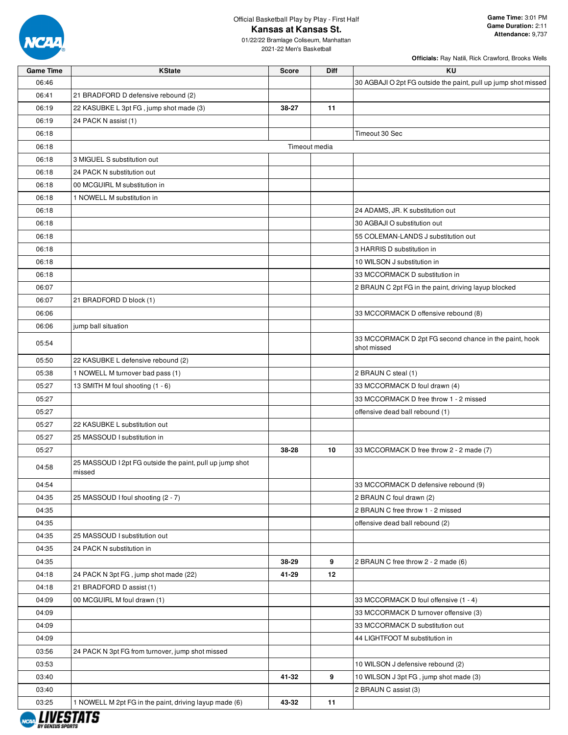

2021-22 Men's Basketball

| <b>Game Time</b> | <b>KState</b>                                                      | <b>Score</b> | Diff          | ΚU                                                                    |
|------------------|--------------------------------------------------------------------|--------------|---------------|-----------------------------------------------------------------------|
| 06:46            |                                                                    |              |               | 30 AGBAJI O 2pt FG outside the paint, pull up jump shot missed        |
| 06:41            | 21 BRADFORD D defensive rebound (2)                                |              |               |                                                                       |
| 06:19            | 22 KASUBKE L 3pt FG, jump shot made (3)                            | 38-27        | 11            |                                                                       |
| 06:19            | 24 PACK N assist (1)                                               |              |               |                                                                       |
| 06:18            |                                                                    |              |               | Timeout 30 Sec                                                        |
| 06:18            |                                                                    |              | Timeout media |                                                                       |
| 06:18            | 3 MIGUEL S substitution out                                        |              |               |                                                                       |
| 06:18            | 24 PACK N substitution out                                         |              |               |                                                                       |
| 06:18            | 00 MCGUIRL M substitution in                                       |              |               |                                                                       |
| 06:18            | 1 NOWELL M substitution in                                         |              |               |                                                                       |
| 06:18            |                                                                    |              |               | 24 ADAMS, JR. K substitution out                                      |
| 06:18            |                                                                    |              |               | 30 AGBAJI O substitution out                                          |
| 06:18            |                                                                    |              |               | 55 COLEMAN-LANDS J substitution out                                   |
| 06:18            |                                                                    |              |               | 3 HARRIS D substitution in                                            |
| 06:18            |                                                                    |              |               | 10 WILSON J substitution in                                           |
| 06:18            |                                                                    |              |               | 33 MCCORMACK D substitution in                                        |
| 06:07            |                                                                    |              |               | 2 BRAUN C 2pt FG in the paint, driving layup blocked                  |
| 06:07            | 21 BRADFORD D block (1)                                            |              |               |                                                                       |
| 06:06            |                                                                    |              |               | 33 MCCORMACK D offensive rebound (8)                                  |
| 06:06            | jump ball situation                                                |              |               |                                                                       |
| 05:54            |                                                                    |              |               | 33 MCCORMACK D 2pt FG second chance in the paint, hook<br>shot missed |
| 05:50            | 22 KASUBKE L defensive rebound (2)                                 |              |               |                                                                       |
| 05:38            | 1 NOWELL M turnover bad pass (1)                                   |              |               | 2 BRAUN C steal (1)                                                   |
| 05:27            | 13 SMITH M foul shooting (1 - 6)                                   |              |               | 33 MCCORMACK D foul drawn (4)                                         |
| 05:27            |                                                                    |              |               | 33 MCCORMACK D free throw 1 - 2 missed                                |
| 05:27            |                                                                    |              |               | offensive dead ball rebound (1)                                       |
| 05:27            | 22 KASUBKE L substitution out                                      |              |               |                                                                       |
| 05:27            | 25 MASSOUD I substitution in                                       |              |               |                                                                       |
| 05:27            |                                                                    | 38-28        | 10            | 33 MCCORMACK D free throw 2 - 2 made (7)                              |
| 04:58            | 25 MASSOUD I 2pt FG outside the paint, pull up jump shot<br>missed |              |               |                                                                       |
| 04:54            |                                                                    |              |               | 33 MCCORMACK D defensive rebound (9)                                  |
| 04:35            | 25 MASSOUD I foul shooting (2 - 7)                                 |              |               | 2 BRAUN C foul drawn (2)                                              |
| 04:35            |                                                                    |              |               | 2 BRAUN C free throw 1 - 2 missed                                     |
| 04:35            |                                                                    |              |               | offensive dead ball rebound (2)                                       |
| 04:35            | 25 MASSOUD I substitution out                                      |              |               |                                                                       |
| 04:35            | 24 PACK N substitution in                                          |              |               |                                                                       |
| 04:35            |                                                                    | 38-29        | 9             | 2 BRAUN C free throw 2 - 2 made (6)                                   |
| 04:18            | 24 PACK N 3pt FG, jump shot made (22)                              | 41-29        | 12            |                                                                       |
| 04:18            | 21 BRADFORD D assist (1)                                           |              |               |                                                                       |
| 04:09            | 00 MCGUIRL M foul drawn (1)                                        |              |               | 33 MCCORMACK D foul offensive (1 - 4)                                 |
| 04:09            |                                                                    |              |               | 33 MCCORMACK D turnover offensive (3)                                 |
| 04:09            |                                                                    |              |               | 33 MCCORMACK D substitution out                                       |
| 04:09            |                                                                    |              |               | 44 LIGHTFOOT M substitution in                                        |
| 03:56            | 24 PACK N 3pt FG from turnover, jump shot missed                   |              |               |                                                                       |
| 03:53            |                                                                    |              |               | 10 WILSON J defensive rebound (2)                                     |
| 03:40            |                                                                    | 41-32        | 9             | 10 WILSON J 3pt FG, jump shot made (3)                                |
| 03:40            |                                                                    |              |               | 2 BRAUN C assist (3)                                                  |
| 03:25            | 1 NOWELL M 2pt FG in the paint, driving layup made (6)             | 43-32        | 11            |                                                                       |
|                  |                                                                    |              |               |                                                                       |
|                  |                                                                    |              |               |                                                                       |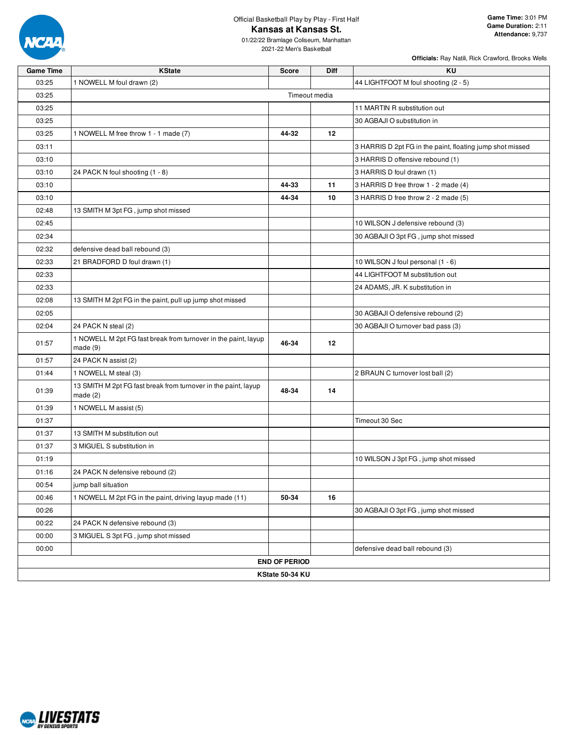

01/22/22 Bramlage Coliseum, Manhattan 2021-22 Men's Basketball

| <b>Game Time</b> | <b>KState</b>                                                                | <b>Score</b>         | Diff          | KU                                                        |
|------------------|------------------------------------------------------------------------------|----------------------|---------------|-----------------------------------------------------------|
| 03:25            | 1 NOWELL M foul drawn (2)                                                    |                      |               | 44 LIGHTFOOT M foul shooting (2 - 5)                      |
| 03:25            |                                                                              |                      | Timeout media |                                                           |
| 03:25            |                                                                              |                      |               | 11 MARTIN R substitution out                              |
| 03:25            |                                                                              |                      |               | 30 AGBAJI O substitution in                               |
| 03:25            | 1 NOWELL M free throw 1 - 1 made (7)                                         | 44-32                | 12            |                                                           |
| 03:11            |                                                                              |                      |               | 3 HARRIS D 2pt FG in the paint, floating jump shot missed |
| 03:10            |                                                                              |                      |               | 3 HARRIS D offensive rebound (1)                          |
| 03:10            | 24 PACK N foul shooting (1 - 8)                                              |                      |               | 3 HARRIS D foul drawn (1)                                 |
| 03:10            |                                                                              | 44-33                | 11            | 3 HARRIS D free throw 1 - 2 made (4)                      |
| 03:10            |                                                                              | 44-34                | 10            | 3 HARRIS D free throw 2 - 2 made (5)                      |
| 02:48            | 13 SMITH M 3pt FG, jump shot missed                                          |                      |               |                                                           |
| 02:45            |                                                                              |                      |               | 10 WILSON J defensive rebound (3)                         |
| 02:34            |                                                                              |                      |               | 30 AGBAJI O 3pt FG, jump shot missed                      |
| 02:32            | defensive dead ball rebound (3)                                              |                      |               |                                                           |
| 02:33            | 21 BRADFORD D foul drawn (1)                                                 |                      |               | 10 WILSON J foul personal (1 - 6)                         |
| 02:33            |                                                                              |                      |               | 44 LIGHTFOOT M substitution out                           |
| 02:33            |                                                                              |                      |               | 24 ADAMS, JR. K substitution in                           |
| 02:08            | 13 SMITH M 2pt FG in the paint, pull up jump shot missed                     |                      |               |                                                           |
| 02:05            |                                                                              |                      |               | 30 AGBAJI O defensive rebound (2)                         |
| 02:04            | 24 PACK N steal (2)                                                          |                      |               | 30 AGBAJI O turnover bad pass (3)                         |
| 01:57            | 1 NOWELL M 2pt FG fast break from turnover in the paint, layup<br>made(9)    | 46-34                | 12            |                                                           |
| 01:57            | 24 PACK N assist (2)                                                         |                      |               |                                                           |
| 01:44            | 1 NOWELL M steal (3)                                                         |                      |               | 2 BRAUN C turnover lost ball (2)                          |
| 01:39            | 13 SMITH M 2pt FG fast break from turnover in the paint, layup<br>made $(2)$ | 48-34                | 14            |                                                           |
| 01:39            | 1 NOWELL M assist (5)                                                        |                      |               |                                                           |
| 01:37            |                                                                              |                      |               | Timeout 30 Sec                                            |
| 01:37            | 13 SMITH M substitution out                                                  |                      |               |                                                           |
| 01:37            | 3 MIGUEL S substitution in                                                   |                      |               |                                                           |
| 01:19            |                                                                              |                      |               | 10 WILSON J 3pt FG, jump shot missed                      |
| 01:16            | 24 PACK N defensive rebound (2)                                              |                      |               |                                                           |
| 00:54            | jump ball situation                                                          |                      |               |                                                           |
| 00:46            | 1 NOWELL M 2pt FG in the paint, driving layup made (11)                      | 50-34                | 16            |                                                           |
| 00:26            |                                                                              |                      |               | 30 AGBAJI O 3pt FG, jump shot missed                      |
| 00:22            | 24 PACK N defensive rebound (3)                                              |                      |               |                                                           |
| 00:00            | 3 MIGUEL S 3pt FG, jump shot missed                                          |                      |               |                                                           |
| 00:00            |                                                                              |                      |               | defensive dead ball rebound (3)                           |
|                  |                                                                              | <b>END OF PERIOD</b> |               |                                                           |
|                  |                                                                              | KState 50-34 KU      |               |                                                           |

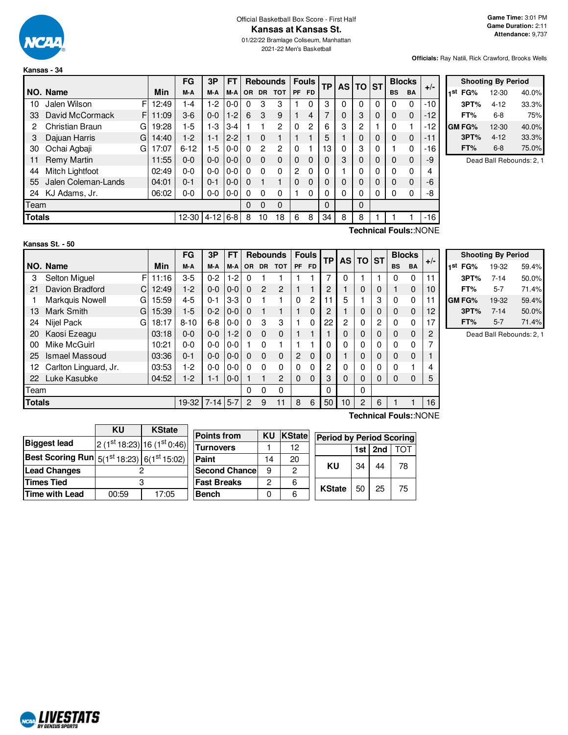

**Kansas - 34**

**NO. Name** 

2021-22 Men's Basketball

**Officials:** Ray Natili, Rick Crawford, Brooks Wells

|                    |         |       |                                                                                         |               |    |                         |  |   |  |           |               | Officials: |
|--------------------|---------|-------|-----------------------------------------------------------------------------------------|---------------|----|-------------------------|--|---|--|-----------|---------------|------------|
| ansas - 34         |         |       |                                                                                         |               |    |                         |  |   |  |           |               |            |
|                    |         | FG    | $\frac{1}{1}$ 3P   FT   Rebounds   Fouls   $_{\text{TP}}$   AS   TO   ST <sup>  F</sup> |               |    |                         |  |   |  |           | <b>Blocks</b> |            |
| <b>IO. Name</b>    | Min     | M-A   |                                                                                         |               |    | M-A M-A OR DR TOT PF FD |  |   |  | <b>BS</b> | BA            | $+/-$      |
| 10 Jalen Wilson    | F112:49 | 1-4   |                                                                                         | $1-2$ $0-0$ 0 | -3 | 3                       |  | 3 |  |           |               | $-10$      |
| 33 David McCormack | F 11:09 | $3-6$ | $0-0$   1-2   6 3                                                                       |               |    | 9                       |  |   |  |           |               | $-12$      |

**Shooting By Period 1 st FG%** 12-30 40.0% **3PT%** 4-12 33.3% **FT%** 6-8 75% **GM FG%** 12-30 40.0% **3PT%** 4-12 33.3% **FT%** 6-8 75.0%

Dead Ball Rebounds: 2, 1

| Technical Fouls::NONE |                             |    |       |          |          |         |   |          |          |          |    |          |   |   |   |   |   |       |
|-----------------------|-----------------------------|----|-------|----------|----------|---------|---|----------|----------|----------|----|----------|---|---|---|---|---|-------|
| <b>Totals</b>         |                             |    |       | 12-30    | $4 - 12$ | $6 - 8$ | 8 | 10       | 18       | 6        | 8  | 34       | 8 | 8 |   |   |   | $-16$ |
| Team                  |                             |    |       |          |          |         | 0 | $\Omega$ | 0        |          |    | $\Omega$ |   | 0 |   |   |   |       |
| 24                    | KJ Adams, Jr.               |    | 06:02 | 0-0      | $0-0$    | $0-0$   | 0 | 0        | 0        |          | 0  |          |   |   | 0 | 0 | 0 | -8    |
| 55                    | Jalen Coleman-Lands         |    | 04:01 | $0 - 1$  | $0 - 1$  | $0 - 0$ | 0 |          |          | 0        | 0  |          | 0 | 0 | 0 | 0 | 0 | -6    |
| 44                    | Mitch Lightfoot             |    | 02:49 | $0 - 0$  | 0-0      | $0 - 0$ | 0 | 0        | 0        | 2        | 0  |          |   |   | 0 | 0 | 0 | 4     |
| 11                    | <b>Remy Martin</b>          |    | 11:55 | $0 - 0$  | $0 - 0$  | $0 - 0$ | 0 | 0        | $\Omega$ | 0        | 0  |          | 3 | 0 | 0 | 0 | 0 | -9    |
| 30                    | Ochai Agbaji                | G  | 17:07 | $6 - 12$ | 1-5      | $0-0$   | 0 | 2        | 2        | $\Omega$ |    | 13       |   | 3 | 0 |   | 0 | -16   |
| 3                     | Dajuan Harris               | GI | 14:40 | $1-2$    | $1 - 1$  | $2 - 2$ |   | 0        |          |          |    | 5        |   | 0 | 0 | 0 | 0 | -11   |
| 2                     | Christian Braun             | G  | 19:28 | $1-5$    | $1-3$    | $3 - 4$ |   |          | 2        | 0        | 2  | 6        | 3 | 2 |   | 0 |   | -12   |
| ື                     | <b>DAVIU IVIUUUI IIIAUN</b> |    | 11.UJ | ບ−ບ      | v-v      | 1 – 4 I | U | ື        | J        |          | ٠. |          | υ | ບ | ◡ | v | υ | - I 4 |

| Kansas St. - 50 |  |
|-----------------|--|
|-----------------|--|

F 11:16  $C$ | 12:49 G 15:59 G 15:39 G 18:17 **NO. Name Min FG 3P FT Rebounds Fouls TP AS TO ST**  $\begin{bmatrix} \mathsf{FG} & \mathsf{3P} & \mathsf{FT} \\ \mathsf{M-A} & \mathsf{M-A} & \mathsf{OR} & \mathsf{DR} & \mathsf{TOT} \end{bmatrix}$   $\begin{bmatrix} \mathsf{FO} & \mathsf{FP} \\ \mathsf{PF} & \mathsf{FD} \end{bmatrix}$   $\begin{bmatrix} \mathsf{TS} & \mathsf{DT} \\ \mathsf{AS} & \mathsf{DT} \end{bmatrix}$   $\begin{bmatrix} \mathsf{BlockS} \\ \mathsf{BS} & \mathsf{BA} \end{bmatrix}$  +/-3 Selton Miguel F 11:16 3-5 0-2 1-2 0 1 1 1 1 7 0 1 1 1 0 0 11 21 Davion Bradford C 12:49 1-2 0-0 0-0 0 2 2 1 1 2 1 0 0 1 0 10 1 Markquis Nowell G | 15:59 | 4-5 | 0-1 | 3-3 | 0 | 1 | 1 | 0 | 2 | 11 | 5 | 1 | 3 | 0 | 0 | 11 13 Mark Smith G | 15:39 | 1-5 | 0-2 | 0-0 | 0 1 1 | 1 0 | 2 | 1 | 0 | 0 | 0 0 | 12 24 Nijel Pack G | 18:17 | 8-10 | 6-8 | 0-0 | 0 3 3 | 1 0 | 22 | 2 | 0 | 2 | 0 0 | 17 20 Kaosi Ezeagu | 03:18 | 0-0 | 0-0 | 1-2 | 0 0 0 | 1 | 1 | 1 | 0 | 0 | 0 | 0 | 2 00 Mike McGuirl | 10:21 | 0-0 | 0-0 | 0-0 | 1 0 1 | 1 1 | 0 | 0 | 0 | 0 | 0 | 7 25 Ismael Massoud 25 ismael Massoud 23:36 | 0-1 | 0-0 | 0-0 | 0 0 0 | 2 0 | 0 | 0 | 1 | 0 | 0 | 0 | 1 12 Carlton Linguard, Jr. 03:53 1-2 0-0 0-0 0 0 0 0 0 2 0 0 0 0 1 4 22 Luke Kasubke 04:52 1-2 1-1 0-0 1 1 2 0 0 3 0 0 0 0 0 5 Team 0 0 0 0 0 **Totals** 19-32 7-14 5-7 2 9 11 | 8 6 | 50 | 10 | 2 | 6 | 1 1 | 16

| <b>Shooting By Period</b> |          |       |  |  |  |  |  |  |  |
|---------------------------|----------|-------|--|--|--|--|--|--|--|
| 1st<br>FG%                | 19-32    | 59.4% |  |  |  |  |  |  |  |
| 3PT%                      | $7 - 14$ | 50.0% |  |  |  |  |  |  |  |
| FT%                       | 5-7      | 71.4% |  |  |  |  |  |  |  |
| <b>GM FG%</b>             | 19-32    | 59.4% |  |  |  |  |  |  |  |
| 3PT%                      | $7 - 14$ | 50.0% |  |  |  |  |  |  |  |
| FT%                       | $5 - 7$  | 71.4% |  |  |  |  |  |  |  |

Dead Ball Rebounds: 2, 1

|                                                           | KU    | <b>KState</b>               |                    |              |        |
|-----------------------------------------------------------|-------|-----------------------------|--------------------|--------------|--------|
|                                                           |       |                             | <b>Points from</b> | KU           | KState |
| <b>Biggest lead</b>                                       |       | $2(1st 18:23) 16(1st 0:46)$ | <b>Turnovers</b>   |              | 12     |
| <b>Best Scoring Run</b> $5(1^{st}18:23)$ $6(1^{st}15:02)$ |       |                             | Paint              | 14           | 20     |
| <b>Lead Changes</b>                                       |       |                             | Second Chance      | 9            | 2      |
| <b>Times Tied</b>                                         | 3     |                             | <b>Fast Breaks</b> | $\mathbf{2}$ | 6      |
| Time with Lead                                            | 00:59 | 17:05                       | <b>Bench</b>       | 0            |        |

**Technical Fouls:**:NONE

| atel |               | <b>Period by Period Scoring</b> |             |     |  |  |  |  |  |  |  |
|------|---------------|---------------------------------|-------------|-----|--|--|--|--|--|--|--|
|      |               |                                 | 1st $ 2nd $ | TOT |  |  |  |  |  |  |  |
|      | κu            | 34                              | 44          | 78  |  |  |  |  |  |  |  |
|      | <b>KState</b> | 50                              | 25          | 75  |  |  |  |  |  |  |  |

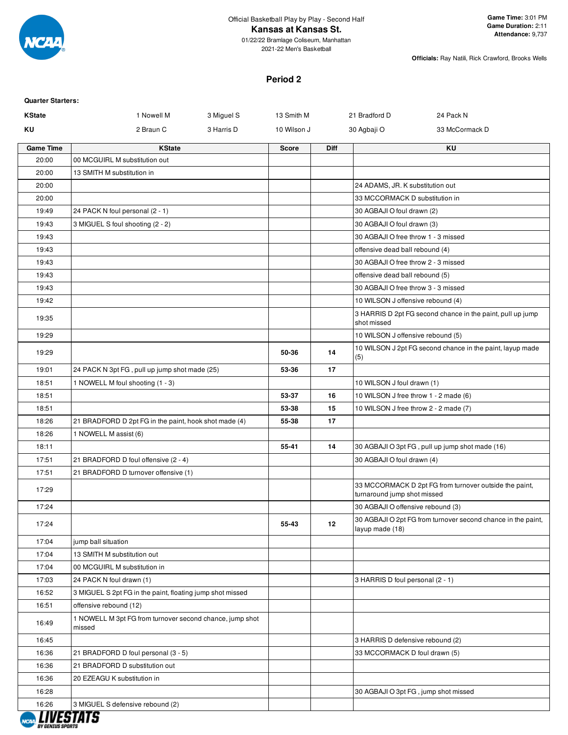

01/22/22 Bramlage Coliseum, Manhattan 2021-22 Men's Basketball

**Officials:** Ray Natili, Rick Crawford, Brooks Wells

#### **Period 2**

| <b>Quarter Starters:</b> |                                                                    |                           |             |                                       |                                                              |
|--------------------------|--------------------------------------------------------------------|---------------------------|-------------|---------------------------------------|--------------------------------------------------------------|
| <b>KState</b>            | 1 Nowell M                                                         | 3 Miguel S<br>13 Smith M  |             | 21 Bradford D                         | 24 Pack N                                                    |
| KU                       | 2 Braun C                                                          | 3 Harris D<br>10 Wilson J |             | 30 Agbaji O                           | 33 McCormack D                                               |
| <b>Game Time</b>         | <b>KState</b>                                                      | <b>Score</b>              | <b>Diff</b> |                                       | KU                                                           |
| 20:00                    | 00 MCGUIRL M substitution out                                      |                           |             |                                       |                                                              |
| 20:00                    | 13 SMITH M substitution in                                         |                           |             |                                       |                                                              |
| 20:00                    |                                                                    |                           |             | 24 ADAMS, JR. K substitution out      |                                                              |
| 20:00                    |                                                                    |                           |             | 33 MCCORMACK D substitution in        |                                                              |
| 19:49                    | 24 PACK N foul personal (2 - 1)                                    |                           |             | 30 AGBAJI O foul drawn (2)            |                                                              |
| 19:43                    | 3 MIGUEL S foul shooting (2 - 2)                                   |                           |             | 30 AGBAJI O foul drawn (3)            |                                                              |
| 19:43                    |                                                                    |                           |             | 30 AGBAJI O free throw 1 - 3 missed   |                                                              |
| 19:43                    |                                                                    |                           |             | offensive dead ball rebound (4)       |                                                              |
| 19:43                    |                                                                    |                           |             | 30 AGBAJI O free throw 2 - 3 missed   |                                                              |
| 19:43                    |                                                                    |                           |             | offensive dead ball rebound (5)       |                                                              |
| 19:43                    |                                                                    |                           |             | 30 AGBAJI O free throw 3 - 3 missed   |                                                              |
| 19:42                    |                                                                    |                           |             | 10 WILSON J offensive rebound (4)     |                                                              |
| 19:35                    |                                                                    |                           |             | shot missed                           | 3 HARRIS D 2pt FG second chance in the paint, pull up jump   |
| 19:29                    |                                                                    |                           |             | 10 WILSON J offensive rebound (5)     |                                                              |
| 19:29                    |                                                                    | 50-36                     | 14          | (5)                                   | 10 WILSON J 2pt FG second chance in the paint, layup made    |
| 19:01                    | 24 PACK N 3pt FG, pull up jump shot made (25)                      | 53-36                     | 17          |                                       |                                                              |
| 18:51                    | 1 NOWELL M foul shooting (1 - 3)                                   |                           |             | 10 WILSON J foul drawn (1)            |                                                              |
| 18:51                    |                                                                    | 53-37                     | 16          | 10 WILSON J free throw 1 - 2 made (6) |                                                              |
| 18:51                    |                                                                    | 53-38                     | 15          | 10 WILSON J free throw 2 - 2 made (7) |                                                              |
| 18:26                    | 21 BRADFORD D 2pt FG in the paint, hook shot made (4)              | 55-38                     | 17          |                                       |                                                              |
| 18:26                    | 1 NOWELL M assist (6)                                              |                           |             |                                       |                                                              |
| 18:11                    |                                                                    | 55-41                     | 14          |                                       | 30 AGBAJI O 3pt FG, pull up jump shot made (16)              |
| 17:51                    | 21 BRADFORD D foul offensive (2 - 4)                               |                           |             | 30 AGBAJI O foul drawn (4)            |                                                              |
| 17:51                    | 21 BRADFORD D turnover offensive (1)                               |                           |             |                                       |                                                              |
| 17:29                    |                                                                    |                           |             | turnaround jump shot missed           | 33 MCCORMACK D 2pt FG from turnover outside the paint,       |
| 17:24                    |                                                                    |                           |             | 30 AGBAJI O offensive rebound (3)     |                                                              |
| 17:24                    |                                                                    | 55-43                     | 12          | layup made (18)                       | 30 AGBAJI O 2pt FG from turnover second chance in the paint, |
| 17:04                    | jump ball situation                                                |                           |             |                                       |                                                              |
| 17:04                    | 13 SMITH M substitution out                                        |                           |             |                                       |                                                              |
| 17:04                    | 00 MCGUIRL M substitution in                                       |                           |             |                                       |                                                              |
| 17:03                    | 24 PACK N foul drawn (1)                                           |                           |             | 3 HARRIS D foul personal (2 - 1)      |                                                              |
| 16:52                    | 3 MIGUEL S 2pt FG in the paint, floating jump shot missed          |                           |             |                                       |                                                              |
| 16:51                    | offensive rebound (12)                                             |                           |             |                                       |                                                              |
| 16:49                    | 1 NOWELL M 3pt FG from turnover second chance, jump shot<br>missed |                           |             |                                       |                                                              |
| 16:45                    |                                                                    |                           |             | 3 HARRIS D defensive rebound (2)      |                                                              |
| 16:36                    | 21 BRADFORD D foul personal (3 - 5)                                |                           |             | 33 MCCORMACK D foul drawn (5)         |                                                              |
| 16:36                    | 21 BRADFORD D substitution out                                     |                           |             |                                       |                                                              |
| 16:36                    | 20 EZEAGU K substitution in                                        |                           |             |                                       |                                                              |
| 16:28                    |                                                                    |                           |             |                                       | 30 AGBAJI O 3pt FG, jump shot missed                         |
| 16:26                    | 3 MIGUEL S defensive rebound (2)                                   |                           |             |                                       |                                                              |
|                          | I IIIPATATA                                                        |                           |             |                                       |                                                              |

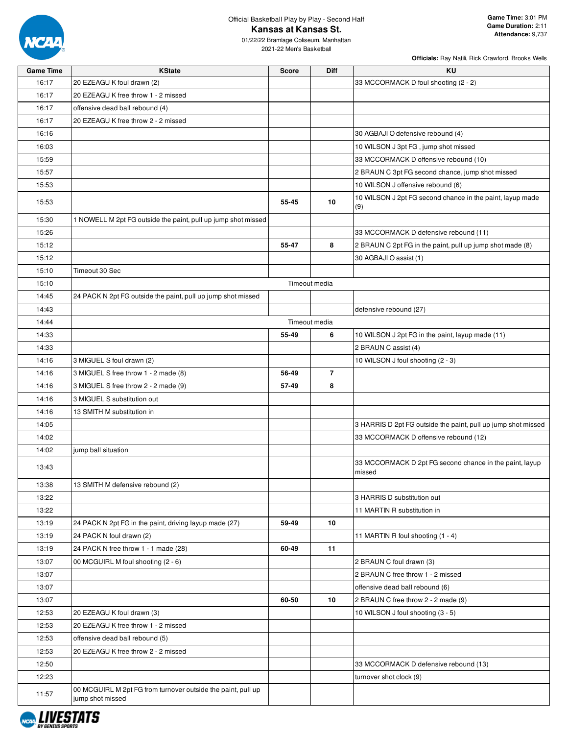

01/22/22 Bramlage Coliseum, Manhattan 2021-22 Men's Basketball

| <b>Game Time</b> | <b>KState</b>                                                                    | <b>Score</b> | Diff           | ΚU                                                               |
|------------------|----------------------------------------------------------------------------------|--------------|----------------|------------------------------------------------------------------|
| 16:17            | 20 EZEAGU K foul drawn (2)                                                       |              |                | 33 MCCORMACK D foul shooting (2 - 2)                             |
| 16:17            | 20 EZEAGU K free throw 1 - 2 missed                                              |              |                |                                                                  |
| 16:17            | offensive dead ball rebound (4)                                                  |              |                |                                                                  |
| 16:17            | 20 EZEAGU K free throw 2 - 2 missed                                              |              |                |                                                                  |
| 16:16            |                                                                                  |              |                | 30 AGBAJI O defensive rebound (4)                                |
| 16:03            |                                                                                  |              |                | 10 WILSON J 3pt FG, jump shot missed                             |
| 15:59            |                                                                                  |              |                | 33 MCCORMACK D offensive rebound (10)                            |
| 15:57            |                                                                                  |              |                | 2 BRAUN C 3pt FG second chance, jump shot missed                 |
| 15:53            |                                                                                  |              |                | 10 WILSON J offensive rebound (6)                                |
| 15:53            |                                                                                  | 55-45        | 10             | 10 WILSON J 2pt FG second chance in the paint, layup made<br>(9) |
| 15:30            | 1 NOWELL M 2pt FG outside the paint, pull up jump shot missed                    |              |                |                                                                  |
| 15:26            |                                                                                  |              |                | 33 MCCORMACK D defensive rebound (11)                            |
| 15:12            |                                                                                  | 55-47        | 8              | 2 BRAUN C 2pt FG in the paint, pull up jump shot made (8)        |
| 15:12            |                                                                                  |              |                | 30 AGBAJI O assist (1)                                           |
| 15:10            | Timeout 30 Sec                                                                   |              |                |                                                                  |
| 15:10            |                                                                                  |              | Timeout media  |                                                                  |
| 14:45            | 24 PACK N 2pt FG outside the paint, pull up jump shot missed                     |              |                |                                                                  |
| 14:43            |                                                                                  |              |                | defensive rebound (27)                                           |
| 14:44            |                                                                                  |              | Timeout media  |                                                                  |
| 14:33            |                                                                                  | 55-49        | 6              | 10 WILSON J 2pt FG in the paint, layup made (11)                 |
| 14:33            |                                                                                  |              |                | 2 BRAUN C assist (4)                                             |
| 14:16            | 3 MIGUEL S foul drawn (2)                                                        |              |                | 10 WILSON J foul shooting (2 - 3)                                |
| 14:16            | 3 MIGUEL S free throw 1 - 2 made (8)                                             | 56-49        | $\overline{7}$ |                                                                  |
| 14:16            | 3 MIGUEL S free throw 2 - 2 made (9)                                             | 57-49        | 8              |                                                                  |
| 14:16            | 3 MIGUEL S substitution out                                                      |              |                |                                                                  |
|                  |                                                                                  |              |                |                                                                  |
| 14:16            | 13 SMITH M substitution in                                                       |              |                |                                                                  |
| 14:05            |                                                                                  |              |                | 3 HARRIS D 2pt FG outside the paint, pull up jump shot missed    |
| 14:02            |                                                                                  |              |                | 33 MCCORMACK D offensive rebound (12)                            |
| 14:02<br>13:43   | jump ball situation                                                              |              |                | 33 MCCORMACK D 2pt FG second chance in the paint, layup          |
|                  |                                                                                  |              |                | missed                                                           |
| 13:38            | 13 SMITH M defensive rebound (2)                                                 |              |                |                                                                  |
| 13:22            |                                                                                  |              |                | 3 HARRIS D substitution out                                      |
| 13:22            |                                                                                  |              |                | 11 MARTIN R substitution in                                      |
| 13:19            | 24 PACK N 2pt FG in the paint, driving layup made (27)                           | 59-49        | 10             |                                                                  |
| 13:19            | 24 PACK N foul drawn (2)                                                         |              |                | 11 MARTIN R foul shooting (1 - 4)                                |
| 13:19            | 24 PACK N free throw 1 - 1 made (28)                                             | 60-49        | 11             |                                                                  |
| 13:07            | 00 MCGUIRL M foul shooting (2 - 6)                                               |              |                | 2 BRAUN C foul drawn (3)                                         |
| 13:07            |                                                                                  |              |                | 2 BRAUN C free throw 1 - 2 missed                                |
| 13:07            |                                                                                  |              |                | offensive dead ball rebound (6)                                  |
| 13:07            |                                                                                  | 60-50        | 10             | 2 BRAUN C free throw 2 - 2 made (9)                              |
| 12:53            | 20 EZEAGU K foul drawn (3)                                                       |              |                | 10 WILSON J foul shooting (3 - 5)                                |
| 12:53            | 20 EZEAGU K free throw 1 - 2 missed                                              |              |                |                                                                  |
| 12:53            | offensive dead ball rebound (5)                                                  |              |                |                                                                  |
| 12:53            | 20 EZEAGU K free throw 2 - 2 missed                                              |              |                |                                                                  |
| 12:50            |                                                                                  |              |                | 33 MCCORMACK D defensive rebound (13)                            |
| 12:23            |                                                                                  |              |                | turnover shot clock (9)                                          |
| 11:57            | 00 MCGUIRL M 2pt FG from turnover outside the paint, pull up<br>jump shot missed |              |                |                                                                  |

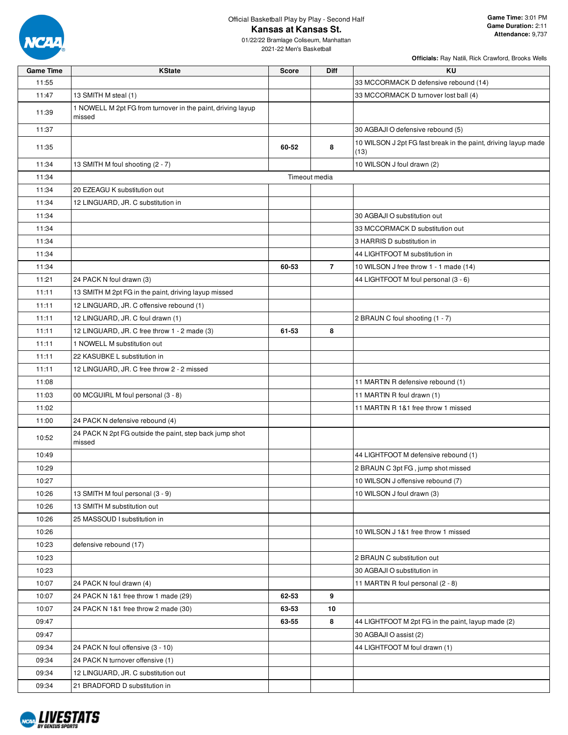

01/22/22 Bramlage Coliseum, Manhattan 2021-22 Men's Basketball

| <b>Game Time</b> | <b>KState</b>                                                         | <b>Score</b> | <b>Diff</b>    | ΚU                                                                     |
|------------------|-----------------------------------------------------------------------|--------------|----------------|------------------------------------------------------------------------|
| 11:55            |                                                                       |              |                | 33 MCCORMACK D defensive rebound (14)                                  |
| 11:47            | 13 SMITH M steal (1)                                                  |              |                | 33 MCCORMACK D turnover lost ball (4)                                  |
| 11:39            | 1 NOWELL M 2pt FG from turnover in the paint, driving layup<br>missed |              |                |                                                                        |
| 11:37            |                                                                       |              |                | 30 AGBAJI O defensive rebound (5)                                      |
| 11:35            |                                                                       | 60-52        | 8              | 10 WILSON J 2pt FG fast break in the paint, driving layup made<br>(13) |
| 11:34            | 13 SMITH M foul shooting (2 - 7)                                      |              |                | 10 WILSON J foul drawn (2)                                             |
| 11:34            |                                                                       |              | Timeout media  |                                                                        |
| 11:34            | 20 EZEAGU K substitution out                                          |              |                |                                                                        |
| 11:34            | 12 LINGUARD, JR. C substitution in                                    |              |                |                                                                        |
| 11:34            |                                                                       |              |                | 30 AGBAJI O substitution out                                           |
| 11:34            |                                                                       |              |                | 33 MCCORMACK D substitution out                                        |
| 11:34            |                                                                       |              |                | 3 HARRIS D substitution in                                             |
| 11:34            |                                                                       |              |                | 44 LIGHTFOOT M substitution in                                         |
| 11:34            |                                                                       | 60-53        | $\overline{7}$ | 10 WILSON J free throw 1 - 1 made (14)                                 |
| 11:21            | 24 PACK N foul drawn (3)                                              |              |                | 44 LIGHTFOOT M foul personal (3 - 6)                                   |
| 11:11            | 13 SMITH M 2pt FG in the paint, driving layup missed                  |              |                |                                                                        |
| 11:11            | 12 LINGUARD, JR. C offensive rebound (1)                              |              |                |                                                                        |
| 11:11            | 12 LINGUARD, JR. C foul drawn (1)                                     |              |                | 2 BRAUN C foul shooting (1 - 7)                                        |
| 11:11            | 12 LINGUARD, JR. C free throw 1 - 2 made (3)                          | 61-53        | 8              |                                                                        |
| 11:11            | 1 NOWELL M substitution out                                           |              |                |                                                                        |
| 11:11            | 22 KASUBKE L substitution in                                          |              |                |                                                                        |
| 11:11            | 12 LINGUARD, JR. C free throw 2 - 2 missed                            |              |                |                                                                        |
| 11:08            |                                                                       |              |                | 11 MARTIN R defensive rebound (1)                                      |
| 11:03            | 00 MCGUIRL M foul personal (3 - 8)                                    |              |                | 11 MARTIN R foul drawn (1)                                             |
| 11:02            |                                                                       |              |                | 11 MARTIN R 1&1 free throw 1 missed                                    |
| 11:00            | 24 PACK N defensive rebound (4)                                       |              |                |                                                                        |
| 10:52            | 24 PACK N 2pt FG outside the paint, step back jump shot<br>missed     |              |                |                                                                        |
| 10:49            |                                                                       |              |                | 44 LIGHTFOOT M defensive rebound (1)                                   |
| 10:29            |                                                                       |              |                | 2 BRAUN C 3pt FG, jump shot missed                                     |
| 10:27            |                                                                       |              |                | 10 WILSON J offensive rebound (7)                                      |
| 10:26            | 13 SMITH M foul personal (3 - 9)                                      |              |                | 10 WILSON J foul drawn (3)                                             |
| 10:26            | 13 SMITH M substitution out                                           |              |                |                                                                        |
| 10:26            | 25 MASSOUD I substitution in                                          |              |                |                                                                        |
| 10:26            |                                                                       |              |                | 10 WILSON J 1&1 free throw 1 missed                                    |
| 10:23            | defensive rebound (17)                                                |              |                |                                                                        |
| 10:23            |                                                                       |              |                | 2 BRAUN C substitution out                                             |
| 10:23            |                                                                       |              |                | 30 AGBAJI O substitution in                                            |
| 10:07            | 24 PACK N foul drawn (4)                                              |              |                | 11 MARTIN R foul personal (2 - 8)                                      |
| 10:07            | 24 PACK N 1&1 free throw 1 made (29)                                  | 62-53        | 9              |                                                                        |
| 10:07            | 24 PACK N 1&1 free throw 2 made (30)                                  | 63-53        | 10             |                                                                        |
| 09:47            |                                                                       | 63-55        | 8              | 44 LIGHTFOOT M 2pt FG in the paint, layup made (2)                     |
| 09:47            |                                                                       |              |                | 30 AGBAJI O assist (2)                                                 |
| 09:34            | 24 PACK N foul offensive (3 - 10)                                     |              |                | 44 LIGHTFOOT M foul drawn (1)                                          |
| 09:34            | 24 PACK N turnover offensive (1)                                      |              |                |                                                                        |
| 09:34            | 12 LINGUARD, JR. C substitution out                                   |              |                |                                                                        |
| 09:34            | 21 BRADFORD D substitution in                                         |              |                |                                                                        |

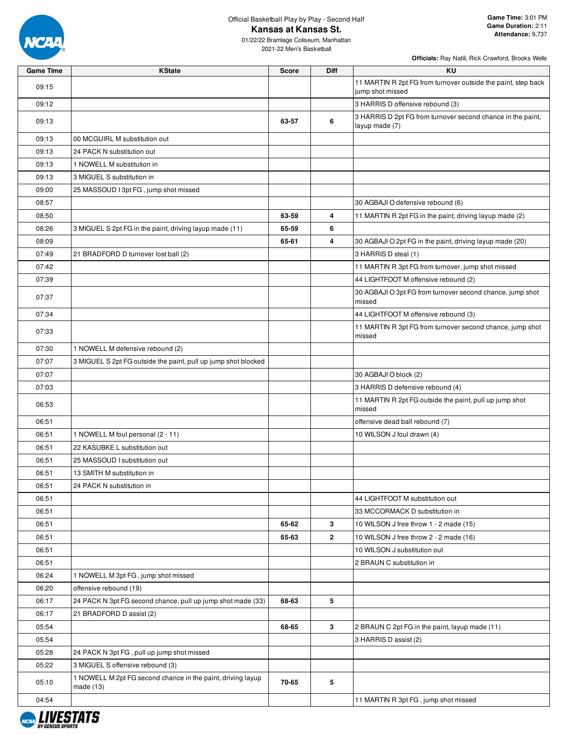

01/22/22 Bramlage Coliseum, Manhattan 2021-22 Men's Basketball

| <b>Game Time</b> | <b>KState</b>                                                              | <b>Score</b> | Diff         | <b>KU</b>                                                                         |
|------------------|----------------------------------------------------------------------------|--------------|--------------|-----------------------------------------------------------------------------------|
| 09:15            |                                                                            |              |              | 11 MARTIN R 2pt FG from turnover outside the paint, step back<br>jump shot missed |
| 09:12            |                                                                            |              |              | 3 HARRIS D offensive rebound (3)                                                  |
| 09:13            |                                                                            | 63-57        | 6            | 3 HARRIS D 2pt FG from turnover second chance in the paint,<br>layup made (7)     |
| 09:13            | 00 MCGUIRL M substitution out                                              |              |              |                                                                                   |
| 09:13            | 24 PACK N substitution out                                                 |              |              |                                                                                   |
| 09:13            | 1 NOWELL M substitution in                                                 |              |              |                                                                                   |
| 09:13            | 3 MIGUEL S substitution in                                                 |              |              |                                                                                   |
| 09:00            | 25 MASSOUD I 3pt FG, jump shot missed                                      |              |              |                                                                                   |
| 08:57            |                                                                            |              |              | 30 AGBAJI O defensive rebound (6)                                                 |
| 08:50            |                                                                            | 63-59        | 4            | 11 MARTIN R 2pt FG in the paint, driving layup made (2)                           |
| 08:26            | 3 MIGUEL S 2pt FG in the paint, driving layup made (11)                    | 65-59        | 6            |                                                                                   |
| 08:09            |                                                                            | 65-61        | 4            | 30 AGBAJI O 2pt FG in the paint, driving layup made (20)                          |
| 07:49            | 21 BRADFORD D turnover lost ball (2)                                       |              |              | 3 HARRIS D steal (1)                                                              |
| 07:42            |                                                                            |              |              | 11 MARTIN R 3pt FG from turnover, jump shot missed                                |
| 07:39            |                                                                            |              |              | 44 LIGHTFOOT M offensive rebound (2)                                              |
| 07:37            |                                                                            |              |              | 30 AGBAJI O 3pt FG from turnover second chance, jump shot<br>missed               |
| 07:34            |                                                                            |              |              | 44 LIGHTFOOT M offensive rebound (3)                                              |
| 07:33            |                                                                            |              |              | 11 MARTIN R 3pt FG from turnover second chance, jump shot<br>missed               |
| 07:30            | 1 NOWELL M defensive rebound (2)                                           |              |              |                                                                                   |
| 07:07            | 3 MIGUEL S 2pt FG outside the paint, pull up jump shot blocked             |              |              |                                                                                   |
| 07:07            |                                                                            |              |              | 30 AGBAJI O block (2)                                                             |
| 07:03            |                                                                            |              |              | 3 HARRIS D defensive rebound (4)                                                  |
| 06:53            |                                                                            |              |              | 11 MARTIN R 2pt FG outside the paint, pull up jump shot<br>missed                 |
| 06:51            |                                                                            |              |              | offensive dead ball rebound (7)                                                   |
| 06:51            | 1 NOWELL M foul personal (2 - 11)                                          |              |              | 10 WILSON J foul drawn (4)                                                        |
| 06:51            | 22 KASUBKE L substitution out                                              |              |              |                                                                                   |
| 06:51            | 25 MASSOUD I substitution out                                              |              |              |                                                                                   |
| 06:51            | 13 SMITH M substitution in                                                 |              |              |                                                                                   |
| 06:51            | 24 PACK N substitution in                                                  |              |              |                                                                                   |
| 06:51            |                                                                            |              |              | 44 LIGHTFOOT M substitution out                                                   |
| 06:51            |                                                                            |              |              | 33 MCCORMACK D substitution in                                                    |
| 06:51            |                                                                            | 65-62        | 3            | 10 WILSON J free throw 1 - 2 made (15)                                            |
| 06:51            |                                                                            | 65-63        | $\mathbf{2}$ | 10 WILSON J free throw 2 - 2 made (16)                                            |
| 06:51            |                                                                            |              |              | 10 WILSON J substitution out                                                      |
| 06:51            |                                                                            |              |              | 2 BRAUN C substitution in                                                         |
| 06:24            | 1 NOWELL M 3pt FG, jump shot missed                                        |              |              |                                                                                   |
| 06:20            | offensive rebound (19)                                                     |              |              |                                                                                   |
| 06:17            | 24 PACK N 3pt FG second chance, pull up jump shot made (33)                | 68-63        | 5            |                                                                                   |
| 06:17            | 21 BRADFORD D assist (2)                                                   |              |              |                                                                                   |
| 05:54            |                                                                            | 68-65        | 3            | 2 BRAUN C 2pt FG in the paint, layup made (11)                                    |
| 05:54            |                                                                            |              |              | 3 HARRIS D assist (2)                                                             |
| 05:28            | 24 PACK N 3pt FG, pull up jump shot missed                                 |              |              |                                                                                   |
| 05:22            | 3 MIGUEL S offensive rebound (3)                                           |              |              |                                                                                   |
| 05:10            | 1 NOWELL M 2pt FG second chance in the paint, driving layup<br>made $(13)$ | 70-65        | 5            |                                                                                   |
| 04:54            |                                                                            |              |              | 11 MARTIN R 3pt FG, jump shot missed                                              |

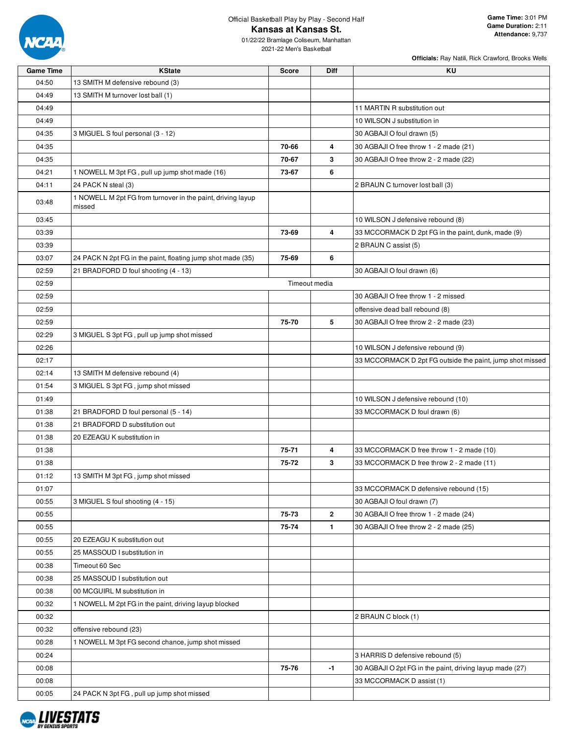

01/22/22 Bramlage Coliseum, Manhattan 2021-22 Men's Basketball

| <b>Game Time</b> | <b>KState</b>                                                         | <b>Score</b> | <b>Diff</b>             | ΚU                                                        |
|------------------|-----------------------------------------------------------------------|--------------|-------------------------|-----------------------------------------------------------|
| 04:50            | 13 SMITH M defensive rebound (3)                                      |              |                         |                                                           |
| 04:49            | 13 SMITH M turnover lost ball (1)                                     |              |                         |                                                           |
| 04:49            |                                                                       |              |                         | 11 MARTIN R substitution out                              |
| 04:49            |                                                                       |              |                         | 10 WILSON J substitution in                               |
| 04:35            | 3 MIGUEL S foul personal (3 - 12)                                     |              |                         | 30 AGBAJI O foul drawn (5)                                |
| 04:35            |                                                                       | 70-66        | 4                       | 30 AGBAJI O free throw 1 - 2 made (21)                    |
| 04:35            |                                                                       | 70-67        | 3                       | 30 AGBAJI O free throw 2 - 2 made (22)                    |
| 04:21            | 1 NOWELL M 3pt FG, pull up jump shot made (16)                        | 73-67        | 6                       |                                                           |
| 04:11            | 24 PACK N steal (3)                                                   |              |                         | 2 BRAUN C turnover lost ball (3)                          |
| 03:48            | 1 NOWELL M 2pt FG from turnover in the paint, driving layup<br>missed |              |                         |                                                           |
| 03:45            |                                                                       |              |                         | 10 WILSON J defensive rebound (8)                         |
| 03:39            |                                                                       | 73-69        | 4                       | 33 MCCORMACK D 2pt FG in the paint, dunk, made (9)        |
| 03:39            |                                                                       |              |                         | 2 BRAUN C assist (5)                                      |
| 03:07            | 24 PACK N 2pt FG in the paint, floating jump shot made (35)           | 75-69        | 6                       |                                                           |
| 02:59            | 21 BRADFORD D foul shooting (4 - 13)                                  |              |                         | 30 AGBAJI O foul drawn (6)                                |
| 02:59            |                                                                       |              | Timeout media           |                                                           |
| 02:59            |                                                                       |              |                         | 30 AGBAJI O free throw 1 - 2 missed                       |
| 02:59            |                                                                       |              |                         | offensive dead ball rebound (8)                           |
| 02:59            |                                                                       | 75-70        | 5                       | 30 AGBAJI O free throw 2 - 2 made (23)                    |
| 02:29            | 3 MIGUEL S 3pt FG, pull up jump shot missed                           |              |                         |                                                           |
| 02:26            |                                                                       |              |                         | 10 WILSON J defensive rebound (9)                         |
| 02:17            |                                                                       |              |                         | 33 MCCORMACK D 2pt FG outside the paint, jump shot missed |
| 02:14            | 13 SMITH M defensive rebound (4)                                      |              |                         |                                                           |
| 01:54            | 3 MIGUEL S 3pt FG, jump shot missed                                   |              |                         |                                                           |
| 01:49            |                                                                       |              |                         | 10 WILSON J defensive rebound (10)                        |
| 01:38            | 21 BRADFORD D foul personal (5 - 14)                                  |              |                         | 33 MCCORMACK D foul drawn (6)                             |
| 01:38            | 21 BRADFORD D substitution out                                        |              |                         |                                                           |
| 01:38            | 20 EZEAGU K substitution in                                           |              |                         |                                                           |
| 01:38            |                                                                       | 75-71        | $\overline{\mathbf{4}}$ | 33 MCCORMACK D free throw 1 - 2 made (10)                 |
| 01:38            |                                                                       | 75-72        | 3                       | 33 MCCORMACK D free throw 2 - 2 made (11)                 |
| 01:12            | 13 SMITH M 3pt FG, jump shot missed                                   |              |                         |                                                           |
| 01:07            |                                                                       |              |                         | 33 MCCORMACK D defensive rebound (15)                     |
| 00:55            | 3 MIGUEL S foul shooting (4 - 15)                                     |              |                         | 30 AGBAJI O foul drawn (7)                                |
| 00:55            |                                                                       | 75-73        | $\mathbf{2}$            | 30 AGBAJI O free throw 1 - 2 made (24)                    |
| 00:55            |                                                                       | 75-74        | $\mathbf{1}$            | 30 AGBAJI O free throw 2 - 2 made (25)                    |
| 00:55            | 20 EZEAGU K substitution out                                          |              |                         |                                                           |
| 00:55            | 25 MASSOUD I substitution in                                          |              |                         |                                                           |
| 00:38            | Timeout 60 Sec                                                        |              |                         |                                                           |
| 00:38            | 25 MASSOUD I substitution out                                         |              |                         |                                                           |
| 00:38            | 00 MCGUIRL M substitution in                                          |              |                         |                                                           |
| 00:32            | 1 NOWELL M 2pt FG in the paint, driving layup blocked                 |              |                         |                                                           |
| 00:32            |                                                                       |              |                         | 2 BRAUN C block (1)                                       |
| 00:32            | offensive rebound (23)                                                |              |                         |                                                           |
| 00:28            | 1 NOWELL M 3pt FG second chance, jump shot missed                     |              |                         |                                                           |
| 00:24            |                                                                       |              |                         | 3 HARRIS D defensive rebound (5)                          |
| 00:08            |                                                                       | 75-76        | $-1$                    | 30 AGBAJI O 2pt FG in the paint, driving layup made (27)  |
| 00:08            |                                                                       |              |                         | 33 MCCORMACK D assist (1)                                 |
| 00:05            | 24 PACK N 3pt FG, pull up jump shot missed                            |              |                         |                                                           |
|                  |                                                                       |              |                         |                                                           |

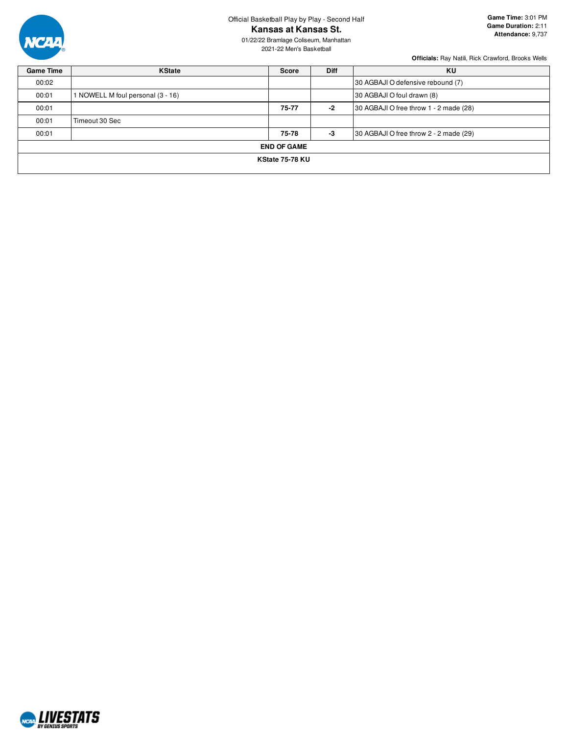

Official Basketball Play by Play - Second Half

**Kansas at Kansas St.**

01/22/22 Bramlage Coliseum, Manhattan 2021-22 Men's Basketball

| <b>Game Time</b> | <b>KState</b>                     | <b>Score</b>       | <b>Diff</b> | KU                                     |
|------------------|-----------------------------------|--------------------|-------------|----------------------------------------|
| 00:02            |                                   |                    |             | 30 AGBAJI O defensive rebound (7)      |
| 00:01            | 1 NOWELL M foul personal (3 - 16) |                    |             | 30 AGBAJI O foul drawn (8)             |
| 00:01            |                                   | $75 - 77$          | $-2$        | 30 AGBAJI O free throw 1 - 2 made (28) |
| 00:01            | Timeout 30 Sec                    |                    |             |                                        |
| 00:01            |                                   | 75-78              | -3          | 30 AGBAJI O free throw 2 - 2 made (29) |
|                  |                                   | <b>END OF GAME</b> |             |                                        |
|                  |                                   | KState 75-78 KU    |             |                                        |
|                  |                                   |                    |             |                                        |

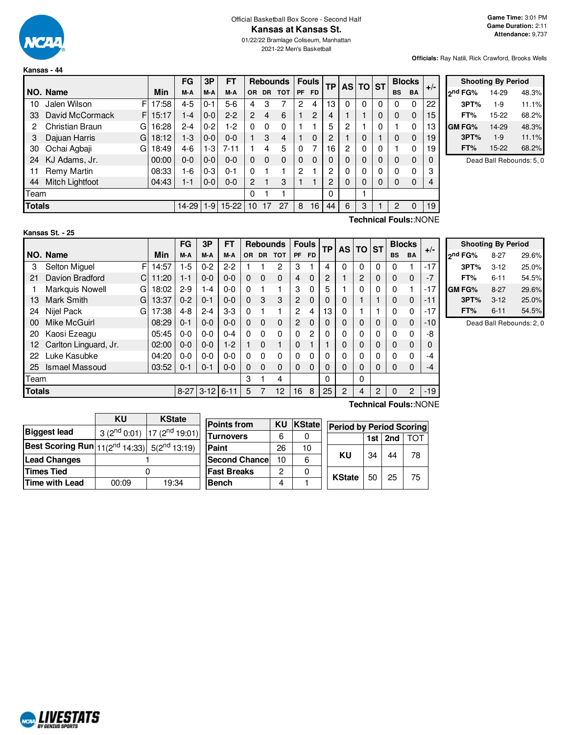

**Kansas - 44**

2021-22 Men's Basketball

**Game Time:** 3:01 PM **Game Duration:** 2:11 **Attendance:** 9,737

**Officials:** Ray Natili, Rick Crawford, Brooks Wells

|               |                       |       | FG        | 3P      | <b>FT</b> |                |           | <b>Rebounds</b> |    | <b>Fouls</b>   | <b>TP</b> |                | AS TO ST |   |           | <b>Blocks</b> | $+/-$ |
|---------------|-----------------------|-------|-----------|---------|-----------|----------------|-----------|-----------------|----|----------------|-----------|----------------|----------|---|-----------|---------------|-------|
|               | NO. Name              | Min   | M-A       | M-A     | M-A       | <b>OR</b>      | <b>DR</b> | <b>TOT</b>      | PF | <b>FD</b>      |           |                |          |   | <b>BS</b> | BA            |       |
| 10            | Jalen Wilson<br>F     | 17:58 | $4 - 5$   | $0 - 1$ | $5-6$     | 4              | 3         |                 | 2  | 4              | 13        | $\Omega$       | $\Omega$ | 0 | $\Omega$  | 0             | 22    |
| 33            | David McCormack<br>F. | 15:17 | $1 - 4$   | $0-0$   | $2 - 2$   | $\overline{2}$ | 4         | 6               |    | $\overline{2}$ | 4         |                |          | 0 | 0         | $\Omega$      | 15    |
| 2             | Christian Braun<br>G  | 16:28 | $2 - 4$   | $0 - 2$ | $1-2$     | $\Omega$       | $\Omega$  | $\Omega$        |    |                | 5         | $\overline{c}$ |          | 0 |           | $\Omega$      | 13    |
| 3             | Dajuan Harris<br>G    | 18:12 | $1-3$     | $0-0$   | $0 - 0$   |                | 3         | 4               |    | $\Omega$       | 2         |                | $\Omega$ |   | 0         | $\Omega$      | 19    |
| 30            | Ochai Agbaji<br>G     | 18:49 | 4-6       | $1-3$   | $7 - 11$  |                | 4         | 5               | 0  | 7              | 16        | 2              | 0        | 0 |           | 0             | 19    |
| 24            | KJ Adams, Jr.         | 00:00 | $0 - 0$   | $0 - 0$ | $0 - 0$   | $\Omega$       | $\Omega$  | $\Omega$        | 0  | $\Omega$       |           | 0              | 0        | 0 | 0         | $\Omega$      | 0     |
| 11            | Remy Martin           | 08:33 | 1-6       | $0 - 3$ | $0 - 1$   | $\Omega$       |           |                 | 2  |                | 2         | 0              | 0        | 0 | 0         | 0             | 3     |
| 44            | Mitch Lightfoot       | 04:43 | 1-1       | $0-0$   | $0-0$     | 2              |           | 3               |    |                | 2         | 0              | 0        | 0 | 0         | 0             | 4     |
| Team          |                       |       |           |         |           | 0              |           |                 |    |                | $\Omega$  |                |          |   |           |               |       |
| <b>Totals</b> |                       |       | $14 - 29$ | $1-9$   | $15 - 22$ | 10             | 17        | 27              | 8  | 16             | 44        | 6              | 3        |   | 2         | 0             | 19    |

| <b>Shooting By Period</b> |       |       |  |  |  |  |  |  |
|---------------------------|-------|-------|--|--|--|--|--|--|
| ond FG%                   | 14-29 | 48.3% |  |  |  |  |  |  |
| 3PT%                      | $1-9$ | 11.1% |  |  |  |  |  |  |
| FT%                       | 15-22 | 68.2% |  |  |  |  |  |  |
| <b>GM FG%</b>             | 14-29 | 48.3% |  |  |  |  |  |  |
| 3PT%                      | $1-9$ | 11.1% |  |  |  |  |  |  |
| FT%                       | 15-22 | 68.2% |  |  |  |  |  |  |

Dead Ball Rebounds: 5, 0

# **Kansas St. - 25**

**Technical Fouls:**:NONE

|               |                             |            | FG       | 3P       | FΤ<br><b>Fouls</b><br><b>Rebounds</b> |          | <b>TP</b> | <b>AS</b>   | ΤO             | <b>ST</b> |          | <b>Blocks</b>  |   |                |             |                |       |
|---------------|-----------------------------|------------|----------|----------|---------------------------------------|----------|-----------|-------------|----------------|-----------|----------|----------------|---|----------------|-------------|----------------|-------|
|               | NO. Name                    | <b>Min</b> | M-A      | M-A      | M-A                                   | 0R       | <b>DR</b> | <b>TOT</b>  | <b>PF</b>      | <b>FD</b> |          |                |   |                | <b>BS</b>   | <b>BA</b>      | $+/-$ |
| 3             | Selton Miguel               | F<br>14:57 | -5       | $0 - 2$  | $2 - 2$                               |          |           | 2           | 3              |           | 4        | 0              | 0 | 0              | 0           |                | $-17$ |
| 21            | Davion Bradford<br>C        | 11:20      | 1-1      | $0 - 0$  | $0 - 0$                               | 0        | 0         | $\Omega$    | 4              | $\Omega$  | 2        |                | 2 | 0              | 0           | $\Omega$       | $-7$  |
|               | <b>Markquis Nowell</b><br>G | 18:02      | $2 - 9$  | 1-4      | $0 - 0$                               | $\Omega$ |           |             | 3              | 0         | 5        |                | 0 | 0              | 0           |                | -17   |
| 13            | Mark Smith<br>G             | 13:37      | $0 - 2$  | $0 - 1$  | $0 - 0$                               | $\Omega$ | 3         | 3           | 2              | $\Omega$  | 0        | 0              |   |                | $\Omega$    | $\Omega$       | -11   |
| 24            | Nijel Pack<br>G             | 17:38      | $4 - 8$  | $2 - 4$  | $3-3$                                 | $\Omega$ |           |             | $\overline{2}$ | 4         | 13       | 0              |   |                | 0           | 0              | -17   |
| 00            | Mike McGuirl                | 08:29      | $0 - 1$  | $0 - 0$  | $0 - 0$                               | $\Omega$ | $\Omega$  | $\mathbf 0$ | $\overline{2}$ | 0         | 0        | 0              | 0 | $\Omega$       | $\Omega$    | 0              | $-10$ |
| 20            | Kaosi Ezeagu                | 05:45      | $0-0$    | $0-0$    | $0 - 4$                               | $\Omega$ | $\Omega$  | 0           | 0              | 2         | 0        | 0              | 0 | $\mathbf 0$    | 0           | 0              | -8    |
| 12            | Carlton Linguard, Jr.       | 02:00      | $0-0$    | $0 - 0$  | $1-2$                                 |          | $\Omega$  | 1           | $\Omega$       |           |          | 0              | 0 | $\Omega$       | $\Omega$    | $\Omega$       |       |
| 22            | Luke Kasubke                | 04:20      | $0 - 0$  | $0-0$    | $0 - 0$                               | $\Omega$ | $\Omega$  | 0           | 0              | 0         | 0        | 0              | 0 | 0              | 0           | 0              | -4    |
| 25            | Ismael Massoud              | 03:52      | $0 - 1$  | $0 - 1$  | $0 - 0$                               | $\Omega$ | $\Omega$  | 0           | $\Omega$       | $\Omega$  | $\Omega$ | 0              | 0 | 0              | 0           | $\Omega$       | $-4$  |
|               | Team                        |            |          |          |                                       |          |           | 4           |                |           | 0        |                | 0 |                |             |                |       |
| <b>Totals</b> |                             |            | $8 - 27$ | $3 - 12$ | $6 - 11$                              | 5        |           | 12          | 16             | 8         | 25       | $\overline{2}$ | 4 | $\overline{2}$ | $\mathbf 0$ | $\overline{2}$ | $-19$ |
|               | Technical Fouls::NONE       |            |          |          |                                       |          |           |             |                |           |          |                |   |                |             |                |       |

| <b>Shooting By Period</b> |          |       |  |  |  |  |  |  |  |  |  |  |  |
|---------------------------|----------|-------|--|--|--|--|--|--|--|--|--|--|--|
| 2 <sup>nd</sup> FG%       | $8-27$   | 29.6% |  |  |  |  |  |  |  |  |  |  |  |
| 3PT%                      | $3 - 12$ | 25.0% |  |  |  |  |  |  |  |  |  |  |  |
| FT%                       | $6 - 11$ | 54.5% |  |  |  |  |  |  |  |  |  |  |  |
| GM FG%                    | $8-27$   | 29.6% |  |  |  |  |  |  |  |  |  |  |  |
| 3PT%                      | $3 - 12$ | 25.0% |  |  |  |  |  |  |  |  |  |  |  |
| FT%                       | $6 - 11$ | 54.5% |  |  |  |  |  |  |  |  |  |  |  |

Dead Ball Rebounds: 2, 0

|                                                                       | ΚU    | <b>KState</b>                        |                       |    |        |                                 |     |     |     |
|-----------------------------------------------------------------------|-------|--------------------------------------|-----------------------|----|--------|---------------------------------|-----|-----|-----|
|                                                                       |       |                                      | <b>Points from</b>    | KU | KState | <b>Period by Period Scoring</b> |     |     |     |
| <b>Biggest lead</b>                                                   |       | $3(2^{nd} 0.01)$ 17 $(2^{nd} 19.01)$ | <b>Turnovers</b>      | 6  |        |                                 | 1st | 2nd | TOT |
| <b>Best Scoring Run</b> $ 11(2^{nd} 14:33) $ 5(2 <sup>nd</sup> 13:19) |       |                                      | Paint                 | 26 | 10     |                                 |     |     |     |
| <b>Lead Changes</b>                                                   |       |                                      | <b>Second Chancel</b> | 10 | 6      | ΚU                              | 34  | 44  | 78  |
| <b>Times Tied</b>                                                     |       |                                      | <b>Fast Breaks</b>    | っ  | 0      | <b>KState</b>                   |     | 25  |     |
| Time with Lead                                                        | 00:09 | 19:34                                | <b>Bench</b>          | 4  |        |                                 | 50  |     | 75  |

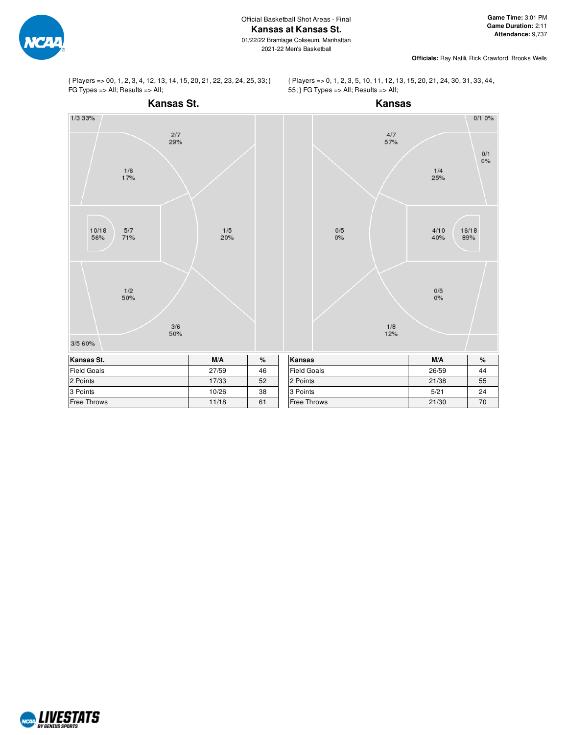

**Officials:** Ray Natili, Rick Crawford, Brooks Wells

{ Players => 00, 1, 2, 3, 4, 12, 13, 14, 15, 20, 21, 22, 23, 24, 25, 33; } FG Types => All; Results => All;



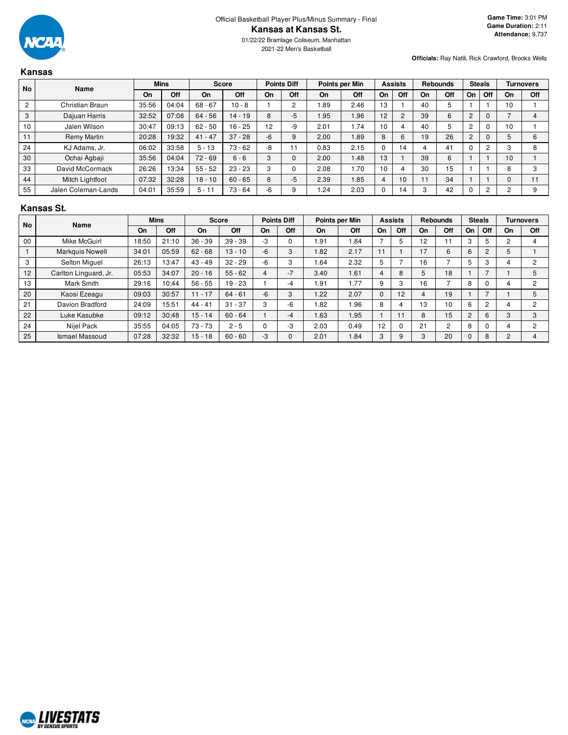

**Kansas**

2021-22 Men's Basketball

**Officials:** Ray Natili, Rick Crawford, Brooks Wells

#### **No Name Mins Score Points Diff Points per Min Assists Rebounds Steals Turnovers On Off On Off On Off On Off On Off On Off On Off On Off** 2 Christian Braun | 35:56 | 04:04 | 68 - 67 | 10 - 8 | 1 | 2 | 1.89 | 2.46 | 13 | 1 | 40 | 5 | 1 | 1 | 10 | 1 3 Dajuan Harris 32:52 07:08 64 - 56 14 - 19 8 -5 1.95 1.96 12 2 39 6 2 0 7 4 10 | Jalen Wilson | 30:47 | 09:13 | 62 - 50 | 16 - 25 | 12 | -9 | 2.01 | 1.74 | 10 | 4 | 40 | 5 | 2 | 0 | 10 | 1 11 Remy Martin 20:28 | 19:32 | 41 - 47 | 37 - 28 | -6 | 9 | 2.00 | 1.89 | 8 | 6 | 19 | 26 | 2 | 0 | 5 | 6 24 | KJ Adams, Jr. | 06:02 | 33:58 | 5 - 13 | 73 - 62 | -8 | 11 | 0.83 | 2.15 | 0 | 14 | 4 | 41 | 0 | 2 | 3 | 8 30 | Ochai Agbaji | 35:56 | 04:04 | 72 - 69 | 6 - 6 | 3 | 0 | 2.00 | 1.48 | 13 | 1 | 39 | 6 | 1 | 1 | 10 | 1 33 David McCormack 26:26 | 13:34 | 55 - 52 | 23 - 23 | 3 | 0 | 2.08 | 1.70 | 10 | 4 | 30 | 15 | 1 | 1 | 8 | 3 44 | Mitch Lightfoot | 07:32 | 32:28 | 18 - 10 | 60 - 65 | 8 | -5 | 2.39 | 1.85 | 4 | 10 | 11 | 34 | 1 | 1 | 0 | 11 55 | Jalen Coleman-Lands | 04:01 | 35:59 | 5 - 11 | 73 - 64 | -6 | 9 | 1.24 | 2.03 | 0 | 14 | 3 | 42 | 0 | 2 | 2 | 9

#### **Kansas St.**

| <b>No</b> | Name                   |       | <b>Mins</b> |           | <b>Points Diff</b><br><b>Score</b> |      |      | Points per Min |      |              | <b>Assists</b> |    | <b>Rebounds</b> |                | <b>Steals</b>  |    | Turnovers |
|-----------|------------------------|-------|-------------|-----------|------------------------------------|------|------|----------------|------|--------------|----------------|----|-----------------|----------------|----------------|----|-----------|
|           |                        | On    | Off         | On        | Off                                | On   | Off  | On             | Off  | On           | Off            | On | Off             | On             | Off            | On | Off       |
| 00        | Mike McGuirl           | 18:50 | 21:10       | $36 - 39$ | $39 - 39$                          | -3   | 0    | 1.91           | .84  |              | 5              | 12 |                 | З              | 5              |    |           |
|           | <b>Markguis Nowell</b> | 34:01 | 05:59       | $62 - 68$ | $13 - 10$                          | $-6$ | 3    | 1.82           | 2.17 | 11           |                | 17 | 6               | 6              | $\overline{c}$ | 5  |           |
| 3         | Selton Miquel          | 26:13 | 3:47        | $43 - 49$ | $32 - 29$                          | -6   | 3    | 1.64           | 2.32 | 5            |                | 16 |                 | 5              | 3              |    | 2         |
| 12        | Carlton Linguard, Jr.  | 05:53 | 34:07       | $20 - 16$ | $55 - 62$                          | 4    | $-7$ | 3.40           | 1.61 | 4            | 8              | 5  | 18              |                |                |    | 5         |
| 13        | Mark Smith             | 29:16 | 10:44       | $56 - 55$ | $19 - 23$                          |      | $-4$ | 1.91           | 1.77 | 9            | 3              | 16 |                 | 8              |                |    | 2         |
| 20        | Kaosi Ezeagu           | 09:03 | 30:57       | $11 - 17$ | $64 - 61$                          | $-6$ | 3    | 1.22           | 2.07 | $\mathbf{0}$ | 12             | 4  | 19              |                | ⇁              |    | 5         |
| 21        | Davion Bradford        | 24:09 | 15:51       | $44 - 41$ | $31 - 37$                          | 3    | $-6$ | 1.82           | l.96 | 8            | 4              | 13 | 10              | 6              | $\overline{2}$ |    | C         |
| 22        | Luke Kasubke           | 09:12 | 30:48       | $15 - 14$ | $60 - 64$                          |      | -4   | 1.63           | 1.95 |              |                | 8  | 15              | $\overline{2}$ | 6              |    | 3         |
| 24        | Niiel Pack             | 35:55 | 04:05       | $73 - 73$ | $2 - 5$                            |      | $-3$ | 2.03           | 0.49 | 12           |                | 21 | 2               | 8              | 0              |    | 2         |
| 25        | Ismael Massoud         | 07:28 | 32:32       | $15 - 18$ | $60 - 60$                          | -3   | 0    | 2.01           | 1.84 | 3            | 9              | 3  | 20              |                | 8              |    |           |

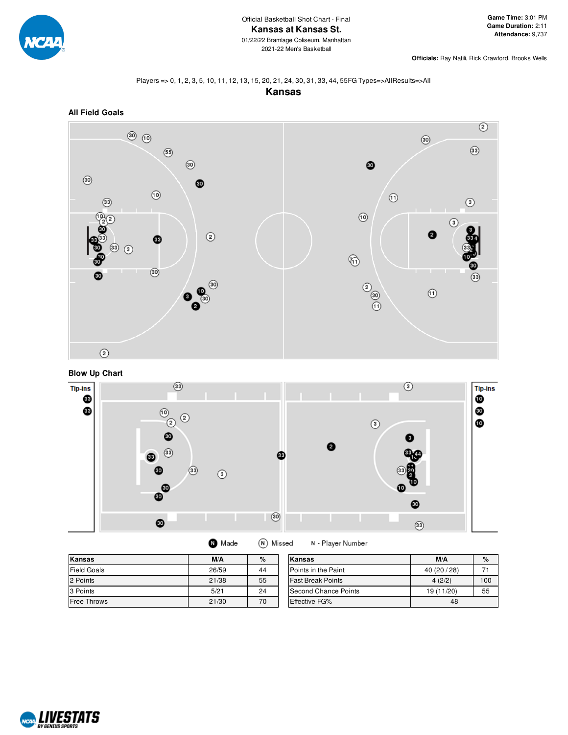

**Officials:** Ray Natili, Rick Crawford, Brooks Wells

#### Players => 0, 1, 2, 3, 5, 10, 11, 12, 13, 15, 20, 21, 24, 30, 31, 33, 44, 55FG Types=>AllResults=>All









| Kansas             | M/A   | $\%$ | Kansas                     | M/A          | $\%$ |
|--------------------|-------|------|----------------------------|--------------|------|
| <b>Field Goals</b> | 26/59 | 44   | <b>Points in the Paint</b> | 40 (20 / 28) |      |
| 2 Points           | 21/38 | 55   | <b>Fast Break Points</b>   | 4(2/2)       | 100  |
| 3 Points           | 5/21  | 24   | Second Chance Points       | 19 (11/20)   | 55   |
| <b>Free Throws</b> | 21/30 | 70   | <b>Effective FG%</b>       | 48           |      |

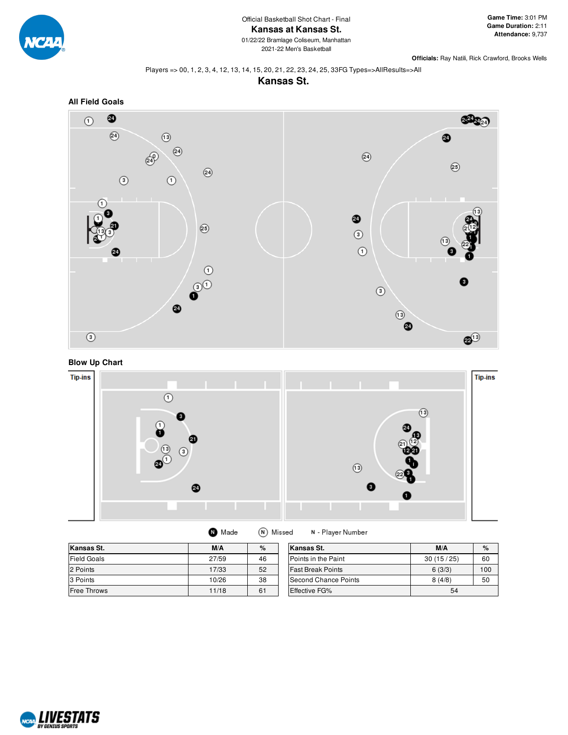

2021-22 Men's Basketball

**Officials:** Ray Natili, Rick Crawford, Brooks Wells

#### Players => 00, 1, 2, 3, 4, 12, 13, 14, 15, 20, 21, 22, 23, 24, 25, 33FG Types=>AllResults=>All





## **Blow Up Chart**



| Kansas St.         | M/A   | %  | Kansas St.               | M/A       | $\%$ |
|--------------------|-------|----|--------------------------|-----------|------|
| <b>Field Goals</b> | 27/59 | 46 | Points in the Paint      | 30(15/25) | 60   |
| 2 Points           | 17/33 | 52 | <b>Fast Break Points</b> | 6(3/3)    | 100  |
| 3 Points           | 10/26 | 38 | Second Chance Points     | 8(4/8)    | 50   |
| <b>Free Throws</b> | 11/18 | 61 | Effective FG%            | 54        |      |

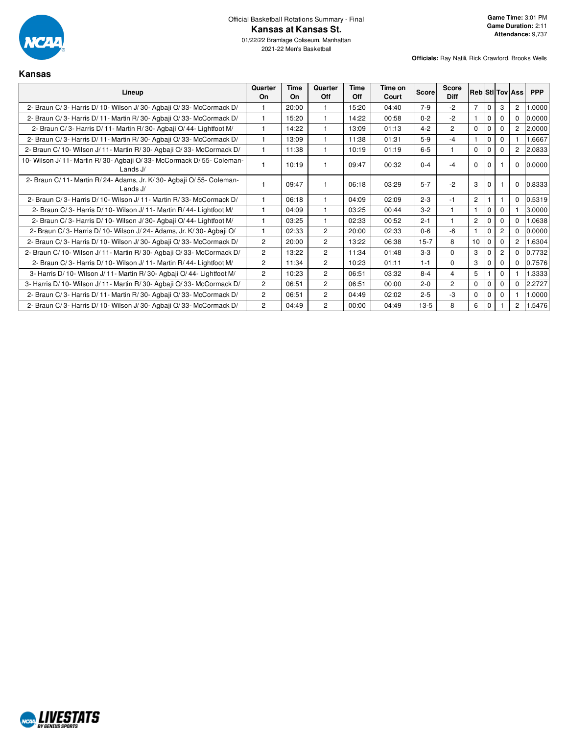

**Kansas**

| Lineup                                                                                | Quarter<br>On  | Time<br>On | Quarter<br>Off | Time<br>Off | Time on<br>Court | <b>Score</b> | Score<br><b>Diff</b> |                |             |                | <b>Reb Stillov Assi</b> | <b>PPP</b> |
|---------------------------------------------------------------------------------------|----------------|------------|----------------|-------------|------------------|--------------|----------------------|----------------|-------------|----------------|-------------------------|------------|
| 2- Braun C/3- Harris D/10- Wilson J/30- Agbaji O/33- McCormack D/                     |                | 20:00      | 1              | 15:20       | 04:40            | $7-9$        | $-2$                 | $\overline{7}$ | $\mathbf 0$ | 3              | 2                       | 1.0000     |
| 2- Braun C/3- Harris D/11- Martin R/30- Agbaji O/33- McCormack D/                     |                | 15:20      | 1              | 14:22       | 00:58            | $0 - 2$      | $-2$                 |                | $\mathbf 0$ | $\Omega$       | $\Omega$                | 0.0000     |
| 2- Braun C/3- Harris D/11- Martin R/30- Agbaji O/44- Lightfoot M/                     |                | 14:22      | 1              | 13:09       | 01:13            | $4 - 2$      | $\overline{2}$       | $\Omega$       |             | $\Omega$       | $\overline{2}$          | 2.0000     |
| 2- Braun C/3- Harris D/11- Martin R/30- Agbaji O/33- McCormack D/                     |                | 13:09      |                | 11:38       | 01:31            | $5-9$        | $-4$                 | $\overline{1}$ | $\Omega$    | $\Omega$       |                         | 1.6667     |
| 2- Braun C/ 10- Wilson J/ 11- Martin R/ 30- Agbaji O/ 33- McCormack D/                |                | 11:38      | 1              | 10:19       | 01:19            | $6-5$        |                      | $\Omega$       |             | $\Omega$       | $\overline{2}$          | 2.0833     |
| 10- Wilson J/ 11- Martin R/ 30- Agbaji O/ 33- McCormack D/ 55- Coleman-<br>Lands $J/$ |                | 10:19      | 1              | 09:47       | 00:32            | $0 - 4$      | $-4$                 | $\Omega$       |             |                | $\Omega$                | 0.0000     |
| 2- Braun C/ 11- Martin R/ 24- Adams, Jr. K/ 30- Agbaji O/ 55- Coleman-<br>Lands J/    |                | 09:47      | 1              | 06:18       | 03:29            | $5 - 7$      | $-2$                 | 3              | $\Omega$    |                | $\Omega$                | 0.8333     |
| 2- Braun C/3- Harris D/10- Wilson J/11- Martin R/33- McCormack D/                     |                | 06:18      | 1              | 04:09       | 02:09            | $2 - 3$      | $-1$                 | $\overline{c}$ |             |                | $\Omega$                | 0.5319     |
| 2- Braun C/3- Harris D/10- Wilson J/11- Martin R/44- Lightfoot M/                     |                | 04:09      |                | 03:25       | 00:44            | $3 - 2$      |                      |                | $\Omega$    | $\Omega$       |                         | 3.0000     |
| 2- Braun C/3- Harris D/10- Wilson J/30- Agbaii O/44- Lightfoot M/                     |                | 03:25      | 1              | 02:33       | 00:52            | $2 - 1$      |                      | $\overline{2}$ |             | $\Omega$       | $\Omega$                | 1.0638     |
| 2- Braun C/3- Harris D/10- Wilson J/24- Adams, Jr. K/30- Agbaji O/                    |                | 02:33      | $\overline{2}$ | 20:00       | 02:33            | $0 - 6$      | $-6$                 | 1              | $\mathbf 0$ | $\overline{2}$ | $\Omega$                | 0.0000     |
| 2- Braun C/3- Harris D/10- Wilson J/30- Agbaji O/33- McCormack D/                     | $\overline{2}$ | 20:00      | $\overline{2}$ | 13:22       | 06:38            | $15 - 7$     | 8                    | 10             | $\mathbf 0$ | $\Omega$       | $\overline{c}$          | 1.6304     |
| 2- Braun C/ 10- Wilson J/ 11- Martin R/ 30- Agbaji O/ 33- McCormack D/                | $\overline{2}$ | 13:22      | $\overline{2}$ | 11:34       | 01:48            | $3 - 3$      | $\Omega$             | 3              | 0           | 2              | $\Omega$                | 0.7732     |
| 2- Braun C/3- Harris D/10- Wilson J/11- Martin R/44- Lightfoot M/                     | $\overline{2}$ | 11:34      | $\overline{c}$ | 10:23       | 01:11            | $1 - 1$      | $\Omega$             | 3              |             | $\Omega$       | $\Omega$                | 0.7576     |
| 3- Harris D/ 10- Wilson J/ 11- Martin R/ 30- Agbaji O/ 44- Lightfoot M/               | $\overline{2}$ | 10:23      | $\overline{2}$ | 06:51       | 03:32            | $8 - 4$      | 4                    | 5              |             | $\Omega$       |                         | 1.3333     |
| 3- Harris D/ 10- Wilson J/ 11- Martin R/ 30- Agbaji O/ 33- McCormack D/               | $\overline{2}$ | 06:51      | $\overline{2}$ | 06:51       | 00:00            | $2 - 0$      | $\overline{2}$       | $\Omega$       | $\Omega$    | $\Omega$       | $\Omega$                | 2.2727     |
| 2- Braun C/3- Harris D/11- Martin R/30- Agbaji O/33- McCormack D/                     | $\overline{2}$ | 06:51      | $\overline{2}$ | 04:49       | 02:02            | $2 - 5$      | -3                   | $\Omega$       | $\mathbf 0$ | $\Omega$       |                         | 1.0000     |
| 2- Braun C/3- Harris D/10- Wilson J/30- Agbaji O/33- McCormack D/                     | $\overline{2}$ | 04:49      | $\overline{2}$ | 00:00       | 04:49            | $13-5$       | 8                    | 6              | $\mathbf 0$ |                | $\overline{2}$          | 1.5476     |

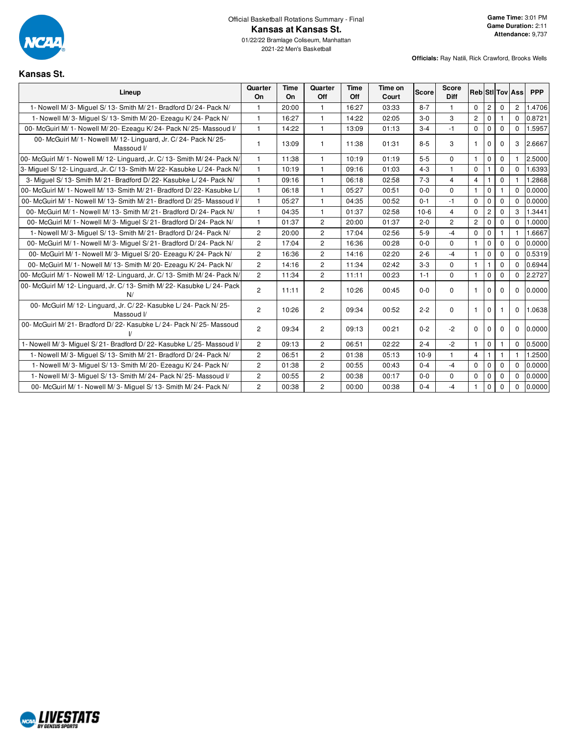

2021-22 Men's Basketball

**Kansas St.**

| Lineup                                                                          | Quarter<br>On  | Time<br>On | Quarter<br>Off        | <b>Time</b><br>Off | Time on<br>Court | Score   | <b>Score</b><br>Diff |                |                |              | <b>Reb StI Tov Ass</b> | <b>PPP</b> |
|---------------------------------------------------------------------------------|----------------|------------|-----------------------|--------------------|------------------|---------|----------------------|----------------|----------------|--------------|------------------------|------------|
| 1- Nowell M/3- Miguel S/13- Smith M/21- Bradford D/24- Pack N/                  |                | 20:00      | 1                     | 16:27              | 03:33            | $8 - 7$ | 1                    | $\mathbf 0$    | $\overline{c}$ | $\mathbf 0$  | $\overline{c}$         | 1.4706     |
| 1- Nowell M/3- Miguel S/13- Smith M/20- Ezeagu K/24- Pack N/                    | $\mathbf{1}$   | 16:27      | $\mathbf{1}$          | 14:22              | 02:05            | $3-0$   | 3                    | $\overline{2}$ | $\mathbf 0$    | 1            | $\Omega$               | 0.8721     |
| 00- McGuirl M/ 1- Nowell M/ 20- Ezeagu K/ 24- Pack N/ 25- Massoud I/            | $\mathbf{1}$   | 14:22      | $\mathbf{1}$          | 13:09              | 01:13            | $3 - 4$ | $-1$                 | $\mathbf 0$    | $\mathbf 0$    | $\Omega$     | $\Omega$               | 1.5957     |
| 00- McGuirl M/ 1- Nowell M/ 12- Linguard, Jr. C/ 24- Pack N/ 25-<br>Massoud I/  | 1              | 13:09      | 1                     | 11:38              | 01:31            | $8 - 5$ | 3                    | $\mathbf{1}$   | $\mathbf 0$    | $\Omega$     | 3                      | 2.6667     |
| 00- McGuirl M/ 1- Nowell M/ 12- Linguard, Jr. C/ 13- Smith M/ 24- Pack N/       | $\mathbf{1}$   | 11:38      | 1                     | 10:19              | 01:19            | $5-5$   | $\Omega$             | $\mathbf{1}$   | $\Omega$       | $\Omega$     |                        | 2.5000     |
| 3- Miguel S/ 12- Linguard, Jr. C/ 13- Smith M/ 22- Kasubke L/ 24- Pack N/       | $\mathbf{1}$   | 10:19      | $\mathbf{1}$          | 09:16              | 01:03            | $4 - 3$ | $\mathbf{1}$         | $\Omega$       | 1              | $\Omega$     | $\Omega$               | 1.6393     |
| 3- Miguel S/ 13- Smith M/ 21- Bradford D/ 22- Kasubke L/ 24- Pack N/            | $\mathbf{1}$   | 09:16      | 1                     | 06:18              | 02:58            | $7 - 3$ | 4                    | $\overline{4}$ |                | $\Omega$     |                        | 1.2868     |
| 00- McGuirl M/ 1- Nowell M/ 13- Smith M/ 21- Bradford D/ 22- Kasubke L/         | $\mathbf{1}$   | 06:18      | $\mathbf{1}$          | 05:27              | 00:51            | $0-0$   | $\Omega$             | $\mathbf{1}$   | $\mathbf 0$    |              | $\Omega$               | 0.0000     |
| 00- McGuirl M/ 1- Nowell M/ 13- Smith M/ 21- Bradford D/ 25- Massoud V          | $\mathbf{1}$   | 05:27      | 1                     | 04:35              | 00:52            | $0 - 1$ | $-1$                 | $\mathbf 0$    | $\mathbf 0$    | $\mathbf 0$  | $\Omega$               | 0.0000     |
| 00- McGuirl M/ 1- Nowell M/ 13- Smith M/ 21- Bradford D/ 24- Pack N/            | $\mathbf{1}$   | 04:35      | $\mathbf{1}$          | 01:37              | 02:58            | $10-6$  | $\overline{4}$       | $\mathbf 0$    | $\overline{c}$ | $\mathbf 0$  | 3                      | 1.3441     |
| 00- McGuirl M/ 1- Nowell M/ 3- Miguel S/ 21- Bradford D/ 24- Pack N/            | 1              | 01:37      | $\overline{c}$        | 20:00              | 01:37            | $2 - 0$ | $\overline{c}$       | $\overline{c}$ | $\mathbf 0$    | $\mathbf 0$  | $\mathbf 0$            | 1.0000     |
| 1- Nowell M/3- Miguel S/ 13- Smith M/21- Bradford D/24- Pack N/                 | $\overline{2}$ | 20:00      | $\overline{2}$        | 17:04              | 02:56            | $5-9$   | $-4$                 | $\mathbf 0$    | $\mathbf 0$    | $\mathbf{1}$ | $\mathbf{1}$           | 1.6667     |
| 00- McGuirl M/ 1- Nowell M/ 3- Miguel S/ 21- Bradford D/ 24- Pack N/            | $\overline{2}$ | 17:04      | $\overline{c}$        | 16:36              | 00:28            | $0-0$   | $\mathbf{0}$         | $\mathbf{1}$   | $\mathbf 0$    | $\mathbf 0$  | $\Omega$               | 0.0000     |
| 00- McGuirl M/ 1- Nowell M/ 3- Miguel S/ 20- Ezeagu K/ 24- Pack N/              | $\mathbf{2}$   | 16:36      | $\overline{c}$        | 14:16              | 02:20            | $2 - 6$ | $-4$                 | $\mathbf{1}$   | $\mathbf 0$    | $\mathbf 0$  | $\Omega$               | 0.5319     |
| 00- McGuirl M/ 1- Nowell M/ 13- Smith M/ 20- Ezeagu K/ 24- Pack N/              | $\overline{2}$ | 14:16      | $\mathbf{2}^{\prime}$ | 11:34              | 02:42            | $3-3$   | $\mathbf{0}$         | $\mathbf{1}$   | 1              | 0            | $\Omega$               | 0.6944     |
| 00- McGuirl M/ 1- Nowell M/ 12- Linguard, Jr. C/ 13- Smith M/ 24- Pack N/       | $\overline{2}$ | 11:34      | $\overline{2}$        | 11:11              | 00:23            | $1 - 1$ | $\Omega$             | $\mathbf{1}$   | $\mathbf 0$    | $\mathbf 0$  | $\Omega$               | 2.2727     |
| 00- McGuirl M/ 12- Linguard, Jr. C/ 13- Smith M/ 22- Kasubke L/ 24- Pack<br>N/  | $\overline{2}$ | 11:11      | $\overline{c}$        | 10:26              | 00:45            | $0 - 0$ | $\Omega$             | $\mathbf{1}$   | $\Omega$       | $\Omega$     | $\mathbf 0$            | 0.0000     |
| 00- McGuirl M/ 12- Linguard, Jr. C/ 22- Kasubke L/ 24- Pack N/ 25-<br>Massoud V | $\overline{2}$ | 10:26      | $\overline{c}$        | 09:34              | 00:52            | $2 - 2$ | $\Omega$             | $\mathbf{1}$   | $\Omega$       |              | $\mathbf 0$            | 1.0638     |
| 00- McGuirl M/21- Bradford D/22- Kasubke L/24- Pack N/25- Massoud               | $\overline{2}$ | 09:34      | $\overline{2}$        | 09:13              | 00:21            | $0 - 2$ | $-2$                 | $\mathbf 0$    | $\mathbf{0}$   | $\mathbf 0$  | $\mathbf 0$            | 0.0000     |
| 1- Nowell M/3- Miguel S/21- Bradford D/22- Kasubke L/25- Massoud I/             | $\overline{2}$ | 09:13      | $\overline{c}$        | 06:51              | 02:22            | $2 - 4$ | $-2$                 | $\mathbf{1}$   | $\mathbf{0}$   |              | $\mathbf 0$            | 0.5000     |
| 1- Nowell M/3- Miguel S/13- Smith M/21- Bradford D/24- Pack N/                  | $\overline{2}$ | 06:51      | $\overline{2}$        | 01:38              | 05:13            | $10-9$  | $\mathbf{1}$         | $\overline{4}$ | 1              | $\mathbf{1}$ |                        | 1.2500     |
| 1- Nowell M/3- Miquel S/13- Smith M/20- Ezeagu K/24- Pack N/                    | $\overline{2}$ | 01:38      | $\overline{c}$        | 00:55              | 00:43            | $0 - 4$ | $-4$                 | $\mathbf 0$    | $\mathbf 0$    | $\mathbf 0$  | $\mathbf 0$            | 0.0000     |
| 1- Nowell M/3- Miguel S/13- Smith M/24- Pack N/25- Massoud I/                   | $\overline{2}$ | 00:55      | $\overline{2}$        | 00:38              | 00:17            | $0-0$   | $\mathbf{0}$         | $\mathbf 0$    | $\mathbf 0$    | $\mathbf 0$  | $\mathbf{0}$           | 0.0000     |
| 00- McGuirl M/ 1- Nowell M/ 3- Miguel S/ 13- Smith M/ 24- Pack N/               | $\overline{2}$ | 00:38      | $\overline{2}$        | 00:00              | 00:38            | $0 - 4$ | $-4$                 | $\mathbf{1}$   | $\mathbf{0}$   | $\mathbf 0$  | $\mathbf 0$            | 0.0000     |

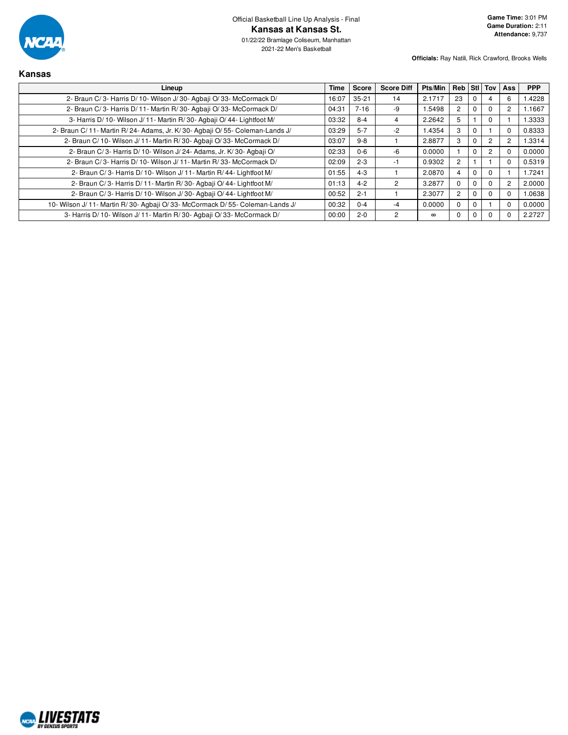

**Kansas**

2021-22 Men's Basketball

**Officials:** Ray Natili, Rick Crawford, Brooks Wells

**Game Time:** 3:01 PM **Game Duration:** 2:11 **Attendance:** 9,737

| Lineup                                                                      | Time  | <b>Score</b> | <b>Score Diff</b> | <b>Pts/Min</b> | Reb Stl Tov Ass |             |                |                | <b>PPP</b> |
|-----------------------------------------------------------------------------|-------|--------------|-------------------|----------------|-----------------|-------------|----------------|----------------|------------|
| 2- Braun C/3- Harris D/10- Wilson J/30- Agbaji O/33- McCormack D/           | 16:07 | $35 - 21$    | 14                | 2.1717         | 23              | 0           |                | 6              | 1.4228     |
| 2- Braun C/3- Harris D/11- Martin R/30- Agbaji O/33- McCormack D/           | 04:31 | $7 - 16$     | -9                | 1.5498         | $\overline{2}$  | 0           | 0              | 2              | 1.1667     |
| 3- Harris D/ 10- Wilson J/ 11- Martin R/ 30- Agbaji O/ 44- Lightfoot M/     | 03:32 | $8 - 4$      |                   | 2.2642         | 5               |             | $\Omega$       |                | .3333      |
| 2- Braun C/11- Martin R/24- Adams, Jr. K/30- Agbaji O/55- Coleman-Lands J/  | 03:29 | $5 - 7$      | -2                | 1.4354         | 3               | 0           |                | 0              | 0.8333     |
| 2- Braun C/10- Wilson J/11- Martin R/30- Agbaii O/33- McCormack D/          | 03:07 | $9 - 8$      |                   | 2.8877         | 3               | $\mathbf 0$ | $\overline{2}$ | $\overline{c}$ | 1.3314     |
| 2- Braun C/3- Harris D/10- Wilson J/24- Adams, Jr. K/30- Agbaji O/          | 02:33 | $0-6$        | $-6$              | 0.0000         |                 | $\Omega$    | $\overline{2}$ |                | 0.0000     |
| 2- Braun C/3- Harris D/10- Wilson J/11- Martin R/33- McCormack D/           | 02:09 | $2 - 3$      | -1                | 0.9302         | $\overline{c}$  |             |                |                | 0.5319     |
| 2- Braun C/3- Harris D/10- Wilson J/11- Martin R/44- Lightfoot M/           | 01:55 | $4 - 3$      |                   | 2.0870         | 4               | 0           | 0              |                | 1.7241     |
| 2- Braun C/3- Harris D/11- Martin R/30- Agbaii O/44- Lightfoot M/           | 01:13 | $4 - 2$      | 2                 | 3.2877         | $\Omega$        | $\Omega$    | $\Omega$       | 2              | 2.0000     |
| 2- Braun C/3- Harris D/10- Wilson J/30- Agbaii O/44- Lightfoot M/           | 00:52 | $2 - 1$      |                   | 2.3077         | $\overline{2}$  | $\Omega$    | $\Omega$       |                | 1.0638     |
| 10- Wilson J/11- Martin R/30- Agbaji O/33- McCormack D/55- Coleman-Lands J/ | 00:32 | $0 - 4$      | -4                | 0.0000         | 0               | 0           |                |                | 0.0000     |
| 3- Harris D/10- Wilson J/11- Martin R/30- Agbaji O/33- McCormack D/         | 00:00 | $2 - 0$      | 2                 | $\infty$       | 0               | 0           |                |                | 2.2727     |